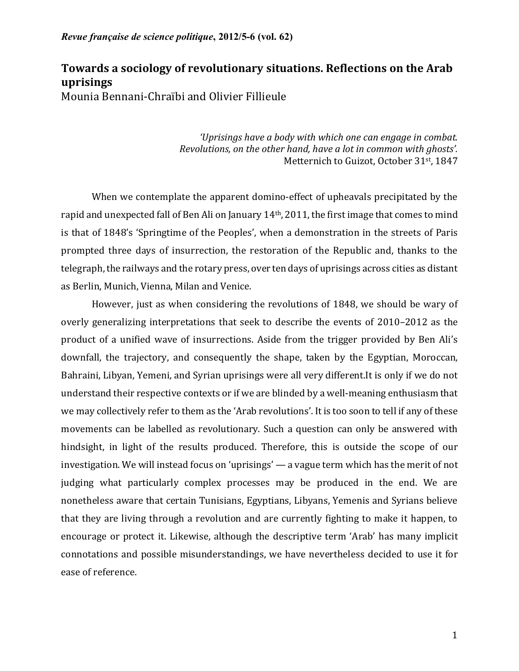# **Towards a sociology of revolutionary situations. Reflections on the Arab uprisings** Mounia Bennani-Chraïbi and Olivier Fillieule

'Uprisings have a body with which one can engage in combat. *Revolutions, on the other hand, have a lot in common with ghosts'.* Metternich to Guizot, October 31st, 1847

When we contemplate the apparent domino-effect of upheavals precipitated by the rapid and unexpected fall of Ben Ali on January 14<sup>th</sup>, 2011, the first image that comes to mind is that of 1848's 'Springtime of the Peoples', when a demonstration in the streets of Paris prompted three days of insurrection, the restoration of the Republic and, thanks to the telegraph, the railways and the rotary press, over ten days of uprisings across cities as distant as Berlin, Munich, Vienna, Milan and Venice.

However, just as when considering the revolutions of 1848, we should be wary of overly generalizing interpretations that seek to describe the events of 2010–2012 as the product of a unified wave of insurrections. Aside from the trigger provided by Ben Ali's downfall, the trajectory, and consequently the shape, taken by the Egyptian, Moroccan, Bahraini, Libyan, Yemeni, and Syrian uprisings were all very different. It is only if we do not understand their respective contexts or if we are blinded by a well-meaning enthusiasm that we may collectively refer to them as the 'Arab revolutions'. It is too soon to tell if any of these movements can be labelled as revolutionary. Such a question can only be answered with hindsight, in light of the results produced. Therefore, this is outside the scope of our investigation. We will instead focus on 'uprisings'  $-$  a vague term which has the merit of not judging what particularly complex processes may be produced in the end. We are nonetheless aware that certain Tunisians, Egyptians, Libyans, Yemenis and Syrians believe that they are living through a revolution and are currently fighting to make it happen, to encourage or protect it. Likewise, although the descriptive term 'Arab' has many implicit connotations and possible misunderstandings, we have nevertheless decided to use it for ease of reference.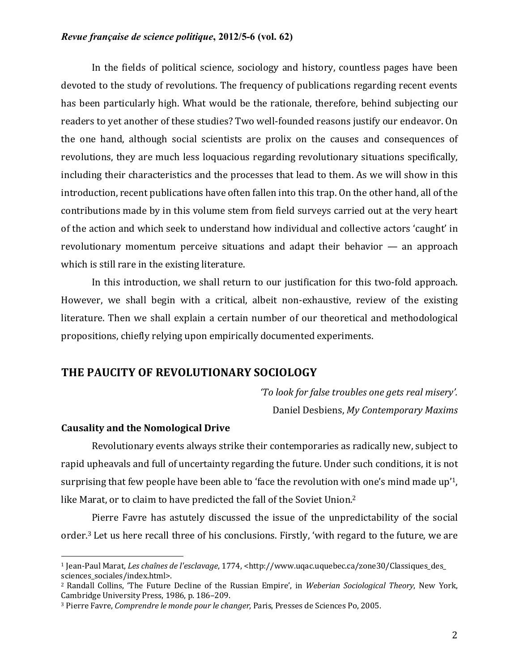In the fields of political science, sociology and history, countless pages have been devoted to the study of revolutions. The frequency of publications regarding recent events has been particularly high. What would be the rationale, therefore, behind subjecting our readers to yet another of these studies? Two well-founded reasons justify our endeavor. On the one hand, although social scientists are prolix on the causes and consequences of revolutions, they are much less loquacious regarding revolutionary situations specifically, including their characteristics and the processes that lead to them. As we will show in this introduction, recent publications have often fallen into this trap. On the other hand, all of the contributions made by in this volume stem from field surveys carried out at the very heart of the action and which seek to understand how individual and collective actors 'caught' in revolutionary momentum perceive situations and adapt their behavior  $-$  an approach which is still rare in the existing literature.

In this introduction, we shall return to our justification for this two-fold approach. However, we shall begin with a critical, albeit non-exhaustive, review of the existing literature. Then we shall explain a certain number of our theoretical and methodological propositions, chiefly relying upon empirically documented experiments.

# **THE PAUCITY OF REVOLUTIONARY SOCIOLOGY**

*'To look for false troubles one gets real misery'.* Daniel Desbiens, *My Contemporary Maxims*

#### **Causality and the Nomological Drive**

 

Revolutionary events always strike their contemporaries as radically new, subject to rapid upheavals and full of uncertainty regarding the future. Under such conditions, it is not surprising that few people have been able to 'face the revolution with one's mind made up'<sup>1</sup>, like Marat, or to claim to have predicted the fall of the Soviet Union.<sup>2</sup>

Pierre Favre has astutely discussed the issue of the unpredictability of the social order.<sup>3</sup> Let us here recall three of his conclusions. Firstly, 'with regard to the future, we are

<sup>1</sup> Jean-Paul Marat, *Les chaînes de l'esclavage*, 1774, <http://www.uqac.uquebec.ca/zone30/Classiques\_des\_ sciences sociales/index.html>.

<sup>&</sup>lt;sup>2</sup> Randall Collins, 'The Future Decline of the Russian Empire', in *Weberian Sociological Theory*, New York, Cambridge University Press, 1986, p. 186-209.

<sup>&</sup>lt;sup>3</sup> Pierre Favre, *Comprendre le monde pour le changer*, Paris, Presses de Sciences Po, 2005.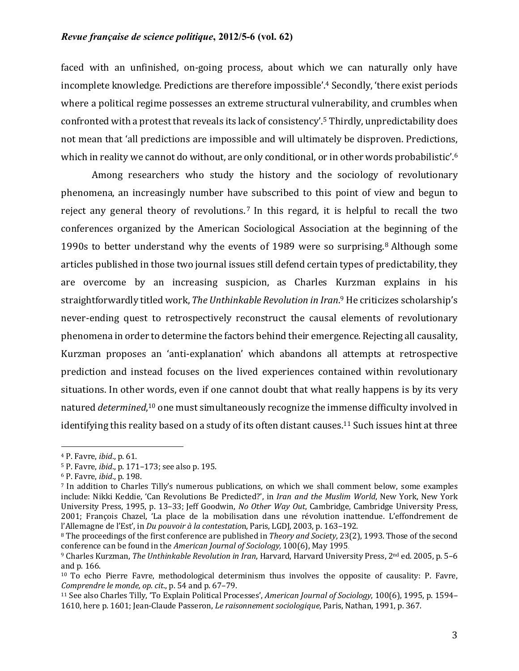faced with an unfinished, on-going process, about which we can naturally only have incomplete knowledge. Predictions are therefore impossible'.<sup>4</sup> Secondly, 'there exist periods where a political regime possesses an extreme structural vulnerability, and crumbles when confronted with a protest that reveals its lack of consistency'.<sup>5</sup> Thirdly, unpredictability does not mean that 'all predictions are impossible and will ultimately be disproven. Predictions, which in reality we cannot do without, are only conditional, or in other words probabilistic'.<sup>6</sup>

Among researchers who study the history and the sociology of revolutionary phenomena, an increasingly number have subscribed to this point of view and begun to reject any general theory of revolutions.<sup>7</sup> In this regard, it is helpful to recall the two conferences organized by the American Sociological Association at the beginning of the 1990s to better understand why the events of 1989 were so surprising.<sup>8</sup> Although some articles published in those two journal issues still defend certain types of predictability, they are overcome by an increasing suspicion, as Charles Kurzman explains in his straightforwardly titled work, *The Unthinkable Revolution in Iran*.<sup>9</sup> He criticizes scholarship's never-ending quest to retrospectively reconstruct the causal elements of revolutionary phenomena in order to determine the factors behind their emergence. Rejecting all causality, Kurzman proposes an 'anti-explanation' which abandons all attempts at retrospective prediction and instead focuses on the lived experiences contained within revolutionary situations. In other words, even if one cannot doubt that what really happens is by its very natured *determined*,<sup>10</sup> one must simultaneously recognize the immense difficulty involved in identifying this reality based on a study of its often distant causes.<sup>11</sup> Such issues hint at three

<sup>4</sup> P. Favre, *ibid*., p. 61.

<sup>5</sup> P. Favre, *ibid.*, p. 171-173; see also p. 195.

<sup>6</sup> P. Favre, *ibid*., p. 198.

<sup>&</sup>lt;sup>7</sup> In addition to Charles Tilly's numerous publications, on which we shall comment below, some examples include: Nikki Keddie, 'Can Revolutions Be Predicted?', in *Iran and the Muslim World*, New York, New York University Press, 1995, p. 13-33; Jeff Goodwin, *No Other Way Out*, Cambridge, Cambridge University Press, 2001; François Chazel, 'La place de la mobilisation dans une révolution inattendue. L'effondrement de l'Allemagne de l'Est', in *Du pouvoir à la contestation*, Paris, LGDJ, 2003, p. 163-192.

<sup>&</sup>lt;sup>8</sup> The proceedings of the first conference are published in *Theory and Society*, 23(2), 1993. Those of the second conference can be found in the *American Journal of Sociology*, 100(6), May 1995.

<sup>&</sup>lt;sup>9</sup> Charles Kurzman, *The Unthinkable Revolution in Iran*, Harvard, Harvard University Press, 2<sup>nd</sup> ed. 2005, p. 5–6 and p. 166.

 $10$  To echo Pierre Favre, methodological determinism thus involves the opposite of causality: P. Favre, *Comprendre le monde, op. cit., p.* 54 and p. 67–79.

<sup>&</sup>lt;sup>11</sup> See also Charles Tilly, 'To Explain Political Processes', *American Journal of Sociology*, 100(6), 1995, p. 1594– 1610, here p. 1601; Jean-Claude Passeron, *Le raisonnement sociologique*, Paris, Nathan, 1991, p. 367.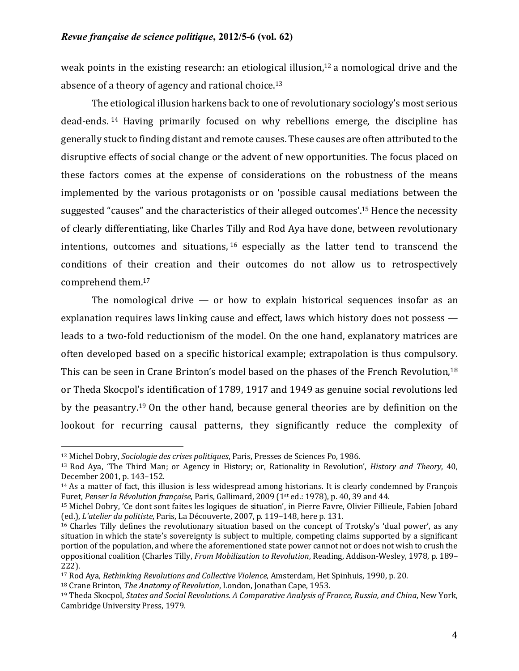weak points in the existing research: an etiological illusion,<sup>12</sup> a nomological drive and the absence of a theory of agency and rational choice.<sup>13</sup>

The etiological illusion harkens back to one of revolutionary sociology's most serious dead-ends.<sup>14</sup> Having primarily focused on why rebellions emerge, the discipline has generally stuck to finding distant and remote causes. These causes are often attributed to the disruptive effects of social change or the advent of new opportunities. The focus placed on these factors comes at the expense of considerations on the robustness of the means implemented by the various protagonists or on 'possible causal mediations between the suggested "causes" and the characteristics of their alleged outcomes'.<sup>15</sup> Hence the necessity of clearly differentiating, like Charles Tilly and Rod Aya have done, between revolutionary intentions, outcomes and situations,  $16$  especially as the latter tend to transcend the conditions of their creation and their outcomes do not allow us to retrospectively comprehend them. 17

The nomological drive  $-$  or how to explain historical sequences insofar as an explanation requires laws linking cause and effect, laws which history does not possess  $$ leads to a two-fold reductionism of the model. On the one hand, explanatory matrices are often developed based on a specific historical example; extrapolation is thus compulsory. This can be seen in Crane Brinton's model based on the phases of the French Revolution,<sup>18</sup> or Theda Skocpol's identification of 1789, 1917 and 1949 as genuine social revolutions led by the peasantry.<sup>19</sup> On the other hand, because general theories are by definition on the lookout for recurring causal patterns, they significantly reduce the complexity of

<sup>&</sup>lt;sup>12</sup> Michel Dobry, *Sociologie des crises politiques*, Paris, Presses de Sciences Po, 1986.

<sup>&</sup>lt;sup>13</sup> Rod Aya, 'The Third Man; or Agency in History; or, Rationality in Revolution', *History and Theory*, 40, December 2001, p. 143-152.

 $14$  As a matter of fact, this illusion is less widespread among historians. It is clearly condemned by François Furet, Penser la Révolution française, Paris, Gallimard, 2009 (1<sup>st</sup> ed.: 1978), p. 40, 39 and 44.

<sup>&</sup>lt;sup>15</sup> Michel Dobry, 'Ce dont sont faites les logiques de situation', in Pierre Favre, Olivier Fillieule, Fabien Jobard (ed.), *L'atelier du politiste*, Paris, La Découverte, 2007, p. 119-148, here p. 131.

 $16$  Charles Tilly defines the revolutionary situation based on the concept of Trotsky's 'dual power', as any situation in which the state's sovereignty is subject to multiple, competing claims supported by a significant portion of the population, and where the aforementioned state power cannot not or does not wish to crush the oppositional coalition (Charles Tilly, *From Mobilization to Revolution*, Reading, Addison-Wesley, 1978, p. 189– 222).

<sup>&</sup>lt;sup>17</sup> Rod Aya, *Rethinking Revolutions and Collective Violence*, Amsterdam, Het Spinhuis, 1990, p. 20.

<sup>&</sup>lt;sup>18</sup> Crane Brinton, *The Anatomy of Revolution*, London, Jonathan Cape, 1953.

<sup>&</sup>lt;sup>19</sup> Theda Skocpol, *States and Social Revolutions. A Comparative Analysis of France, Russia, and China, New York,* Cambridge University Press, 1979.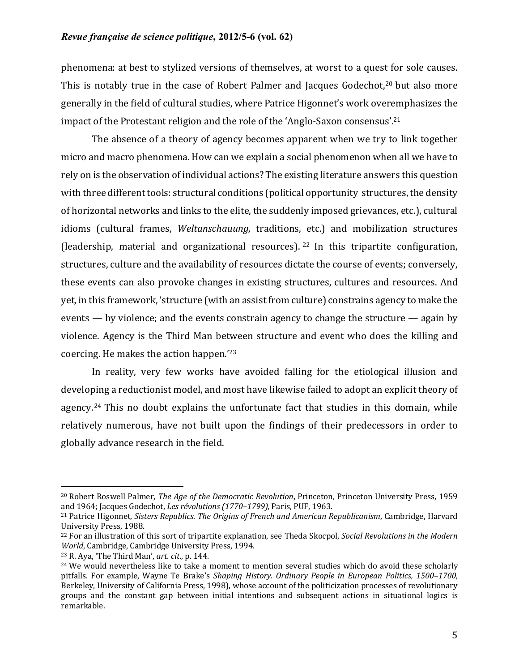phenomena: at best to stylized versions of themselves, at worst to a quest for sole causes. This is notably true in the case of Robert Palmer and Jacques Godechot,<sup>20</sup> but also more generally in the field of cultural studies, where Patrice Higonnet's work overemphasizes the impact of the Protestant religion and the role of the 'Anglo-Saxon consensus'.<sup>21</sup>

The absence of a theory of agency becomes apparent when we try to link together micro and macro phenomena. How can we explain a social phenomenon when all we have to rely on is the observation of individual actions? The existing literature answers this question with three different tools: structural conditions (political opportunity structures, the density of horizontal networks and links to the elite, the suddenly imposed grievances, etc.), cultural idioms (cultural frames, *Weltanschauung*, traditions, etc.) and mobilization structures (leadership, material and organizational resources).  $22$  In this tripartite configuration, structures, culture and the availability of resources dictate the course of events; conversely, these events can also provoke changes in existing structures, cultures and resources. And yet, in this framework, 'structure (with an assist from culture) constrains agency to make the events  $-$  by violence; and the events constrain agency to change the structure  $-$  again by violence. Agency is the Third Man between structure and event who does the killing and coercing. He makes the action happen.<sup>'23</sup>

In reality, very few works have avoided falling for the etiological illusion and developing a reductionist model, and most have likewise failed to adopt an explicit theory of agency.<sup>24</sup> This no doubt explains the unfortunate fact that studies in this domain, while relatively numerous, have not built upon the findings of their predecessors in order to globally advance research in the field.

<sup>&</sup>lt;sup>20</sup> Robert Roswell Palmer, *The Age of the Democratic Revolution*, Princeton, Princeton University Press, 1959 and 1964; Jacques Godechot, *Les révolutions (1770–1799)*, Paris, PUF, 1963.

<sup>&</sup>lt;sup>21</sup> Patrice Higonnet, *Sisters Republics. The Origins of French and American Republicanism*, Cambridge, Harvard University Press, 1988.

<sup>&</sup>lt;sup>22</sup> For an illustration of this sort of tripartite explanation, see Theda Skocpol, *Social Revolutions in the Modern World*, Cambridge, Cambridge University Press, 1994.

 $23$  R. Aya, 'The Third Man',  $art.$   $cit.$  p. 144.

 $24$  We would nevertheless like to take a moment to mention several studies which do avoid these scholarly pitfalls. For example, Wayne Te Brake's *Shaping History. Ordinary People in European Politics, 1500–1700*, Berkeley, University of California Press, 1998), whose account of the politicization processes of revolutionary groups and the constant gap between initial intentions and subsequent actions in situational logics is remarkable.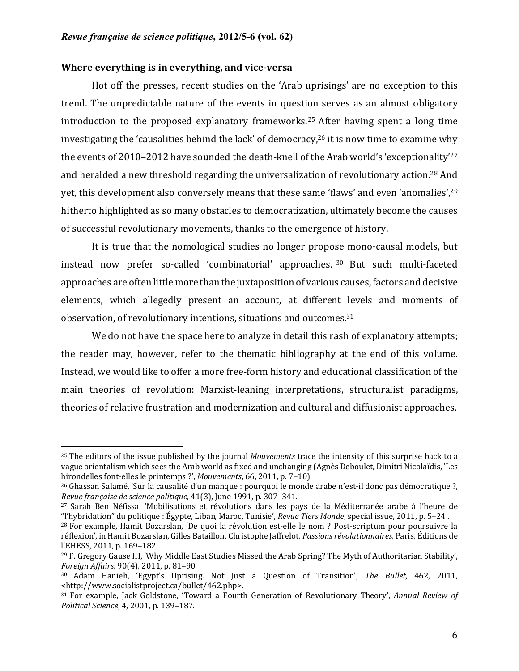# **Where everything is in everything, and vice-versa**

 

Hot off the presses, recent studies on the 'Arab uprisings' are no exception to this trend. The unpredictable nature of the events in question serves as an almost obligatory introduction to the proposed explanatory frameworks.<sup>25</sup> After having spent a long time investigating the 'causalities behind the lack' of democracy,<sup>26</sup> it is now time to examine why the events of 2010–2012 have sounded the death-knell of the Arab world's 'exceptionality'<sup>27</sup> and heralded a new threshold regarding the universalization of revolutionary action.<sup>28</sup> And yet, this development also conversely means that these same 'flaws' and even 'anomalies',  $29$ hitherto highlighted as so many obstacles to democratization, ultimately become the causes of successful revolutionary movements, thanks to the emergence of history.

It is true that the nomological studies no longer propose mono-causal models, but instead now prefer so-called 'combinatorial' approaches. 30 But such multi-faceted approaches are often little more than the juxtaposition of various causes, factors and decisive elements, which allegedly present an account, at different levels and moments of observation, of revolutionary intentions, situations and outcomes.<sup>31</sup>

We do not have the space here to analyze in detail this rash of explanatory attempts; the reader may, however, refer to the thematic bibliography at the end of this volume. Instead, we would like to offer a more free-form history and educational classification of the main theories of revolution: Marxist-leaning interpretations, structuralist paradigms, theories of relative frustration and modernization and cultural and diffusionist approaches.

<sup>&</sup>lt;sup>25</sup> The editors of the issue published by the journal *Mouvements* trace the intensity of this surprise back to a vague orientalism which sees the Arab world as fixed and unchanging (Agnès Deboulet, Dimitri Nicolaïdis, 'Les hirondelles font-elles le printemps ?', *Mouvements*, 66, 2011, p. 7-10).

<sup>&</sup>lt;sup>26</sup> Ghassan Salamé, 'Sur la causalité d'un manque : pourquoi le monde arabe n'est-il donc pas démocratique ?, *Revue française de science politique*, 41(3), June 1991, p. 307-341.

 $27$  Sarah Ben Néfissa, 'Mobilisations et révolutions dans les pays de la Méditerranée arabe à l'heure de "l'hybridation" du politique : Égypte, Liban, Maroc, Tunisie', *Revue Tiers Monde*, special issue, 2011, p. 5–24.

 $28$  For example, Hamit Bozarslan, 'De quoi la révolution est-elle le nom ? Post-scriptum pour poursuivre la réflexion', in Hamit Bozarslan, Gilles Bataillon, Christophe Jaffrelot, *Passions révolutionnaires*, Paris, Éditions de l'EHESS, 2011, p. 169-182.

<sup>&</sup>lt;sup>29</sup> F. Gregory Gause III, 'Why Middle East Studies Missed the Arab Spring? The Myth of Authoritarian Stability', *Foreign Affairs*, 90(4), 2011, p. 81-90.

<sup>&</sup>lt;sup>30</sup> Adam Hanieh, 'Egypt's Uprising. Not Just a Question of Transition', The Bullet, 462, 2011, <http://www.socialistproject.ca/bullet/462.php>.

<sup>&</sup>lt;sup>31</sup> For example, Jack Goldstone, 'Toward a Fourth Generation of Revolutionary Theory', Annual Review of *Political Science*, 4, 2001, p. 139–187.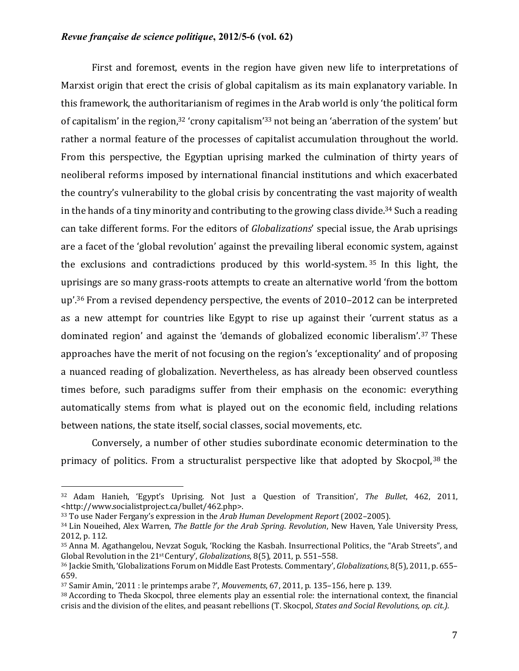First and foremost, events in the region have given new life to interpretations of Marxist origin that erect the crisis of global capitalism as its main explanatory variable. In this framework, the authoritarianism of regimes in the Arab world is only 'the political form of capitalism' in the region,<sup>32</sup> 'crony capitalism'<sup>33</sup> not being an 'aberration of the system' but rather a normal feature of the processes of capitalist accumulation throughout the world. From this perspective, the Egyptian uprising marked the culmination of thirty years of neoliberal reforms imposed by international financial institutions and which exacerbated the country's vulnerability to the global crisis by concentrating the vast majority of wealth in the hands of a tiny minority and contributing to the growing class divide.<sup>34</sup> Such a reading can take different forms. For the editors of *Globalizations'* special issue, the Arab uprisings are a facet of the 'global revolution' against the prevailing liberal economic system, against the exclusions and contradictions produced by this world-system.<sup>35</sup> In this light, the uprisings are so many grass-roots attempts to create an alternative world 'from the bottom up'.<sup>36</sup> From a revised dependency perspective, the events of  $2010-2012$  can be interpreted as a new attempt for countries like Egypt to rise up against their 'current status as a dominated region' and against the 'demands of globalized economic liberalism'.<sup>37</sup> These approaches have the merit of not focusing on the region's 'exceptionality' and of proposing a nuanced reading of globalization. Nevertheless, as has already been observed countless times before, such paradigms suffer from their emphasis on the economic: everything automatically stems from what is played out on the economic field, including relations between nations, the state itself, social classes, social movements, etc.

Conversely, a number of other studies subordinate economic determination to the primacy of politics. From a structuralist perspective like that adopted by Skocpol,<sup>38</sup> the

<sup>&</sup>lt;sup>32</sup> Adam Hanieh, 'Egypt's Uprising. Not Just a Question of Transition', The Bullet, 462, 2011, <http://www.socialistproject.ca/bullet/462.php>.

<sup>&</sup>lt;sup>33</sup> To use Nader Fergany's expression in the *Arab Human Development Report* (2002–2005).

<sup>&</sup>lt;sup>34</sup> Lin Noueihed, Alex Warren, *The Battle for the Arab Spring. Revolution*, New Haven, Yale University Press, 2012, p. 112.

<sup>&</sup>lt;sup>35</sup> Anna M. Agathangelou, Nevzat Soguk, 'Rocking the Kasbah. Insurrectional Politics, the "Arab Streets", and Global Revolution in the 21<sup>st</sup> Century', *Globalizations*, 8(5), 2011, p. 551–558.

<sup>&</sup>lt;sup>36</sup> Jackie Smith, 'Globalizations Forum on Middle East Protests. Commentary', *Globalizations*, 8(5), 2011, p. 655– 659.

 $37$  Samir Amin,  $'2011$ : le printemps arabe ?', *Mouvements*, 67, 2011, p. 135–156, here p. 139.

 $38$  According to Theda Skocpol, three elements play an essential role: the international context, the financial crisis and the division of the elites, and peasant rebellions (T. Skocpol, *States and Social Revolutions, op. cit.*).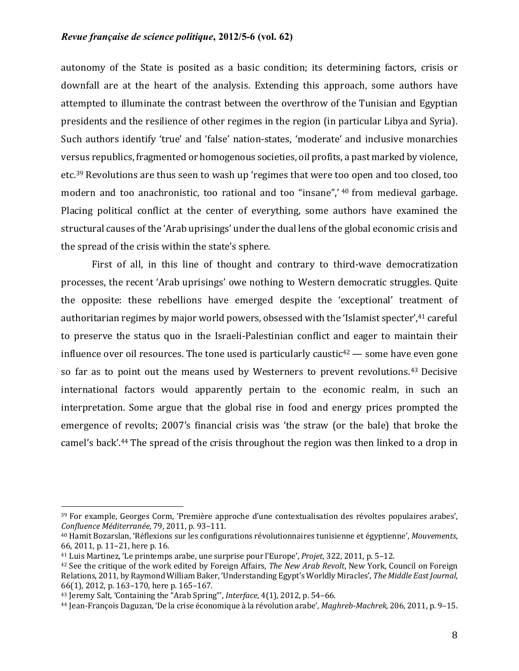autonomy of the State is posited as a basic condition; its determining factors, crisis or downfall are at the heart of the analysis. Extending this approach, some authors have attempted to illuminate the contrast between the overthrow of the Tunisian and Egyptian presidents and the resilience of other regimes in the region (in particular Libya and Syria). Such authors identify 'true' and 'false' nation-states, 'moderate' and inclusive monarchies versus republics, fragmented or homogenous societies, oil profits, a past marked by violence, etc.<sup>39</sup> Revolutions are thus seen to wash up 'regimes that were too open and too closed, too modern and too anachronistic, too rational and too "insane",' <sup>40</sup> from medieval garbage. Placing political conflict at the center of everything, some authors have examined the structural causes of the 'Arab uprisings' under the dual lens of the global economic crisis and the spread of the crisis within the state's sphere.

First of all, in this line of thought and contrary to third-wave democratization processes, the recent 'Arab uprisings' owe nothing to Western democratic struggles. Ouite the opposite: these rebellions have emerged despite the 'exceptional' treatment of authoritarian regimes by major world powers, obsessed with the 'Islamist specter',<sup>41</sup> careful to preserve the status quo in the Israeli-Palestinian conflict and eager to maintain their influence over oil resources. The tone used is particularly caustic<sup>42</sup> — some have even gone so far as to point out the means used by Westerners to prevent revolutions.<sup>43</sup> Decisive international factors would apparently pertain to the economic realm, in such an interpretation. Some argue that the global rise in food and energy prices prompted the emergence of revolts; 2007's financial crisis was 'the straw (or the bale) that broke the camel's back'.<sup>44</sup> The spread of the crisis throughout the region was then linked to a drop in

<sup>&</sup>lt;sup>39</sup> For example, Georges Corm, 'Première approche d'une contextualisation des révoltes populaires arabes', *Confluence Méditerranée*, 79, 2011, p. 93–111.

<sup>&</sup>lt;sup>40</sup> Hamit Bozarslan, 'Réflexions sur les configurations révolutionnaires tunisienne et égyptienne', Mouvements, 66, 2011, p. 11-21, here p. 16.

<sup>&</sup>lt;sup>41</sup> Luis Martinez, 'Le printemps arabe, une surprise pour l'Europe', *Projet*, 322, 2011, p. 5–12.

<sup>&</sup>lt;sup>42</sup> See the critique of the work edited by Foreign Affairs, *The New Arab Revolt*, New York, Council on Foreign Relations, 2011, by Raymond William Baker, 'Understanding Egypt's Worldly Miracles', The Middle East Journal, 66(1), 2012, p. 163-170, here p. 165-167.

<sup>&</sup>lt;sup>43</sup> Jeremy Salt, 'Containing the "Arab Spring"', Interface, 4(1), 2012, p. 54-66.

<sup>44</sup> Jean-François Daguzan, 'De la crise économique à la révolution arabe', *Maghreb-Machrek*, 206, 2011, p. 9–15.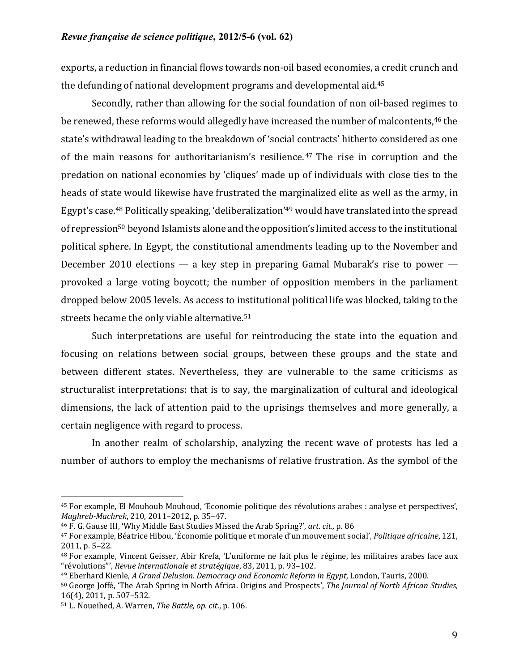exports, a reduction in financial flows towards non-oil based economies, a credit crunch and the defunding of national development programs and developmental aid. $45$ 

Secondly, rather than allowing for the social foundation of non oil-based regimes to be renewed, these reforms would allegedly have increased the number of malcontents,<sup>46</sup> the state's withdrawal leading to the breakdown of 'social contracts' hitherto considered as one of the main reasons for authoritarianism's resilience.<sup>47</sup> The rise in corruption and the predation on national economies by 'cliques' made up of individuals with close ties to the heads of state would likewise have frustrated the marginalized elite as well as the army, in Egypt's case.<sup>48</sup> Politically speaking, 'deliberalization'<sup>49</sup> would have translated into the spread of repression<sup>50</sup> beyond Islamists alone and the opposition's limited access to the institutional political sphere. In Egypt, the constitutional amendments leading up to the November and December 2010 elections — a key step in preparing Gamal Mubarak's rise to power provoked a large voting boycott; the number of opposition members in the parliament dropped below 2005 levels. As access to institutional political life was blocked, taking to the streets became the only viable alternative.<sup>51</sup>

Such interpretations are useful for reintroducing the state into the equation and focusing on relations between social groups, between these groups and the state and between different states. Nevertheless, they are vulnerable to the same criticisms as structuralist interpretations: that is to say, the marginalization of cultural and ideological dimensions, the lack of attention paid to the uprisings themselves and more generally, a certain negligence with regard to process.

In another realm of scholarship, analyzing the recent wave of protests has led a number of authors to employ the mechanisms of relative frustration. As the symbol of the

<sup>&</sup>lt;sup>45</sup> For example, El Mouhoub Mouhoud, 'Economie politique des révolutions arabes : analyse et perspectives', *Maghreb-Machrek*, 210, 2011-2012, p. 35-47.

<sup>&</sup>lt;sup>46</sup> F. G. Gause III, 'Why Middle East Studies Missed the Arab Spring?', *art. cit.*, p. 86

<sup>&</sup>lt;sup>47</sup> For example, Béatrice Hibou, 'Économie politique et morale d'un mouvement social', *Politique africaine*, 121, 2011. p. 5-22.

 $48$  For example, Vincent Geisser, Abir Krefa, 'L'uniforme ne fait plus le régime, les militaires arabes face aux "révolutions"', *Revue internationale et stratégique*, 83, 2011, p. 93–102.

<sup>&</sup>lt;sup>49</sup> Eberhard Kienle, *A Grand Delusion. Democracy and Economic Reform in Egypt*, London, Tauris, 2000.

<sup>50</sup> George Joffé, 'The Arab Spring in North Africa. Origins and Prospects', *The Journal of North African Studies*, 16(4), 2011, p. 507-532.

<sup>51</sup> L. Noueihed, A. Warren, *The Battle, op. cit.*, p. 106.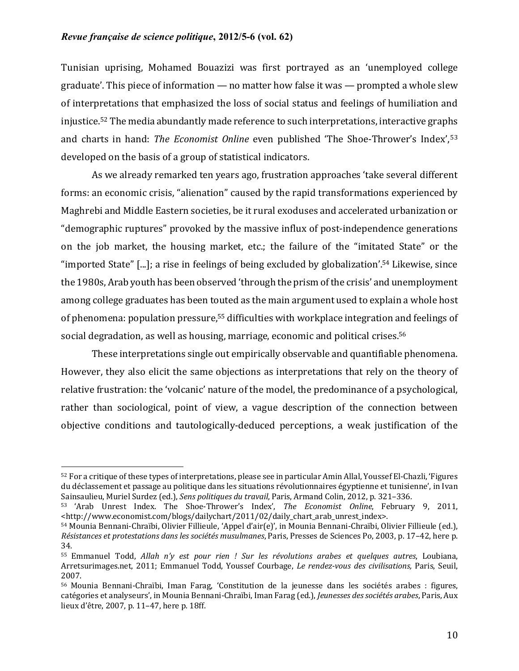Tunisian uprising, Mohamed Bouazizi was first portrayed as an 'unemployed college graduate'. This piece of information  $-$  no matter how false it was  $-$  prompted a whole slew of interpretations that emphasized the loss of social status and feelings of humiliation and injustice.<sup>52</sup> The media abundantly made reference to such interpretations, interactive graphs and charts in hand: *The Economist Online* even published 'The Shoe-Thrower's Index',<sup>53</sup> developed on the basis of a group of statistical indicators.

As we already remarked ten years ago, frustration approaches 'take several different forms: an economic crisis, "alienation" caused by the rapid transformations experienced by Maghrebi and Middle Eastern societies, be it rural exoduses and accelerated urbanization or "demographic ruptures" provoked by the massive influx of post-independence generations on the job market, the housing market, etc.; the failure of the "imitated State" or the "imported State"  $[...]$ ; a rise in feelings of being excluded by globalization'.<sup>54</sup> Likewise, since the 1980s, Arab youth has been observed 'through the prism of the crisis' and unemployment among college graduates has been touted as the main argument used to explain a whole host of phenomena: population pressure,<sup>55</sup> difficulties with workplace integration and feelings of social degradation, as well as housing, marriage, economic and political crises.<sup>56</sup>

These interpretations single out empirically observable and quantifiable phenomena. However, they also elicit the same objections as interpretations that rely on the theory of relative frustration: the 'volcanic' nature of the model, the predominance of a psychological, rather than sociological, point of view, a vague description of the connection between objective conditions and tautologically-deduced perceptions, a weak justification of the

<sup>52</sup> For a critique of these types of interpretations, please see in particular Amin Allal, Youssef El-Chazli, 'Figures du déclassement et passage au politique dans les situations révolutionnaires égyptienne et tunisienne', in Ivan Sainsaulieu, Muriel Surdez (ed.), *Sens politiques du travail*, Paris, Armand Colin, 2012, p. 321–336.

<sup>53 &#</sup>x27;Arab Unrest Index. The Shoe-Thrower's Index', The Economist Online, February 9, 2011, <http://www.economist.com/blogs/dailychart/2011/02/daily\_chart\_arab\_unrest\_index>.

<sup>54</sup> Mounia Bennani-Chraïbi, Olivier Fillieule, 'Appel d'air(e)', in Mounia Bennani-Chraïbi, Olivier Fillieule (ed.), *Résistances et protestations dans les sociétés musulmanes*, Paris, Presses de Sciences Po, 2003, p. 17–42, here p. 34.

<sup>55</sup> Emmanuel Todd, *Allah n'y est pour rien ! Sur les révolutions arabes et quelques autres*, Loubiana, Arretsurimages.net, 2011; Emmanuel Todd, Youssef Courbage, *Le rendez-vous des civilisations*, Paris, Seuil, 2007.

<sup>56</sup> Mounia Bennani-Chraïbi, Iman Farag, 'Constitution de la jeunesse dans les sociétés arabes : figures, catégories et analyseurs', in Mounia Bennani-Chraïbi, Iman Farag (ed.), *Jeunesses des sociétés arabes*, Paris, Aux lieux d'être, 2007, p. 11-47, here p. 18ff.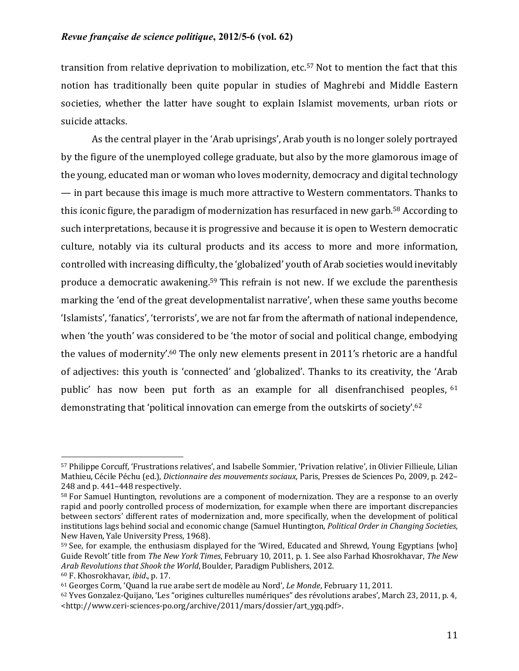transition from relative deprivation to mobilization, etc.<sup>57</sup> Not to mention the fact that this notion has traditionally been quite popular in studies of Maghrebi and Middle Eastern societies, whether the latter have sought to explain Islamist movements, urban riots or suicide attacks.

As the central player in the 'Arab uprisings', Arab youth is no longer solely portrayed by the figure of the unemployed college graduate, but also by the more glamorous image of the young, educated man or woman who loves modernity, democracy and digital technology — in part because this image is much more attractive to Western commentators. Thanks to this iconic figure, the paradigm of modernization has resurfaced in new garb.<sup>58</sup> According to such interpretations, because it is progressive and because it is open to Western democratic culture, notably via its cultural products and its access to more and more information, controlled with increasing difficulty, the 'globalized' youth of Arab societies would inevitably produce a democratic awakening.<sup>59</sup> This refrain is not new. If we exclude the parenthesis marking the 'end of the great developmentalist narrative', when these same youths become 'Islamists', 'fanatics', 'terrorists', we are not far from the aftermath of national independence, when 'the youth' was considered to be 'the motor of social and political change, embodying the values of modernity'.<sup>60</sup> The only new elements present in 2011's rhetoric are a handful of adjectives: this youth is 'connected' and 'globalized'. Thanks to its creativity, the 'Arab public' has now been put forth as an example for all disenfranchised peoples, <sup>61</sup> demonstrating that 'political innovation can emerge from the outskirts of society'.<sup>62</sup>

<sup>57</sup> Philippe Corcuff, 'Frustrations relatives', and Isabelle Sommier, 'Privation relative', in Olivier Fillieule, Lilian Mathieu, Cécile Péchu (ed.), *Dictionnaire des mouvements sociaux*, Paris, Presses de Sciences Po, 2009, p. 242– 248 and p. 441-448 respectively.

<sup>58</sup> For Samuel Huntington, revolutions are a component of modernization. They are a response to an overly rapid and poorly controlled process of modernization, for example when there are important discrepancies between sectors' different rates of modernization and, more specifically, when the development of political institutions lags behind social and economic change (Samuel Huntington, *Political Order in Changing Societies*, New Haven, Yale University Press, 1968).

<sup>&</sup>lt;sup>59</sup> See, for example, the enthusiasm displayed for the 'Wired, Educated and Shrewd, Young Egyptians [who] Guide Revolt' title from *The New York Times*, February 10, 2011, p. 1. See also Farhad Khosrokhavar, The New *Arab Revolutions that Shook the World*, Boulder, Paradigm Publishers, 2012.

<sup>&</sup>lt;sup>60</sup> F. Khosrokhavar, *ibid.*, p. 17.

<sup>&</sup>lt;sup>61</sup> Georges Corm, 'Quand la rue arabe sert de modèle au Nord', *Le Monde*, February 11, 2011.

<sup>62</sup> Yves Gonzalez-Quijano, 'Les "origines culturelles numériques" des révolutions arabes', March 23, 2011, p. 4, <http://www.ceri-sciences-po.org/archive/2011/mars/dossier/art\_ygq.pdf>.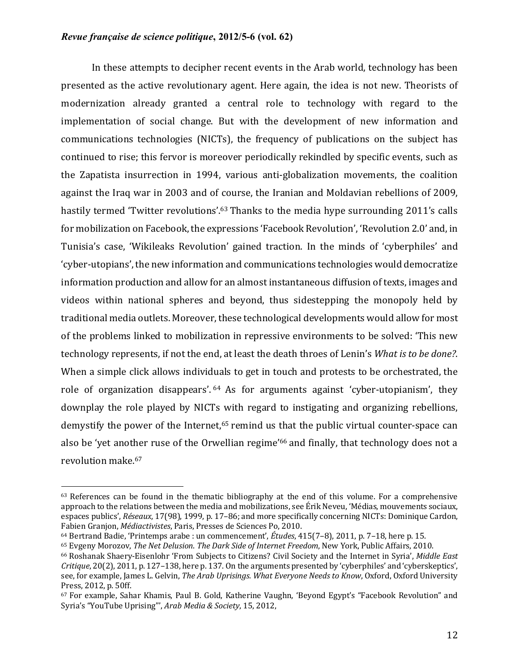In these attempts to decipher recent events in the Arab world, technology has been presented as the active revolutionary agent. Here again, the idea is not new. Theorists of modernization already granted a central role to technology with regard to the implementation of social change. But with the development of new information and communications technologies (NICTs), the frequency of publications on the subject has continued to rise; this fervor is moreover periodically rekindled by specific events, such as the Zapatista insurrection in 1994, various anti-globalization movements, the coalition against the Iraq war in 2003 and of course, the Iranian and Moldavian rebellions of 2009, hastily termed 'Twitter revolutions'.<sup>63</sup> Thanks to the media hype surrounding 2011's calls for mobilization on Facebook, the expressions 'Facebook Revolution', 'Revolution 2.0' and, in Tunisia's case, 'Wikileaks Revolution' gained traction. In the minds of 'cyberphiles' and 'cyber-utopians', the new information and communications technologies would democratize information production and allow for an almost instantaneous diffusion of texts, images and videos within national spheres and beyond, thus sidestepping the monopoly held by traditional media outlets. Moreover, these technological developments would allow for most of the problems linked to mobilization in repressive environments to be solved: 'This new technology represents, if not the end, at least the death throes of Lenin's *What is to be done?*. When a simple click allows individuals to get in touch and protests to be orchestrated, the role of organization disappears'.  $64$  As for arguments against 'cyber-utopianism', they downplay the role played by NICTs with regard to instigating and organizing rebellions, demystify the power of the Internet, $65$  remind us that the public virtual counter-space can also be 'yet another ruse of the Orwellian regime'<sup>66</sup> and finally, that technology does not a revolution make.<sup>67</sup>

 $63$  References can be found in the thematic bibliography at the end of this volume. For a comprehensive approach to the relations between the media and mobilizations, see Érik Neveu, 'Médias, mouvements sociaux, espaces publics', *Réseaux*, 17(98), 1999, p. 17–86; and more specifically concerning NICTs: Dominique Cardon, Fabien Granjon, *Médiactivistes*, Paris, Presses de Sciences Po, 2010.

<sup>&</sup>lt;sup>64</sup> Bertrand Badie, 'Printemps arabe : un commencement', Études, 415(7-8), 2011, p. 7-18, here p. 15.

<sup>&</sup>lt;sup>65</sup> Evgeny Morozov, *The Net Delusion. The Dark Side of Internet Freedom*, New York, Public Affairs, 2010.

<sup>&</sup>lt;sup>66</sup> Roshanak Shaery-Eisenlohr 'From Subjects to Citizens? Civil Society and the Internet in Syria', *Middle East Critique*, 20(2), 2011, p. 127–138, here p. 137. On the arguments presented by 'cyberphiles' and 'cyberskeptics', see, for example, James L. Gelvin, *The Arab Uprisings. What Everyone Needs to Know*, Oxford, Oxford University Press, 2012, p. 50ff.

<sup>67</sup> For example, Sahar Khamis, Paul B. Gold, Katherine Vaughn, 'Beyond Egypt's "Facebook Revolution" and Syria's "YouTube Uprising"', Arab Media & Society, 15, 2012,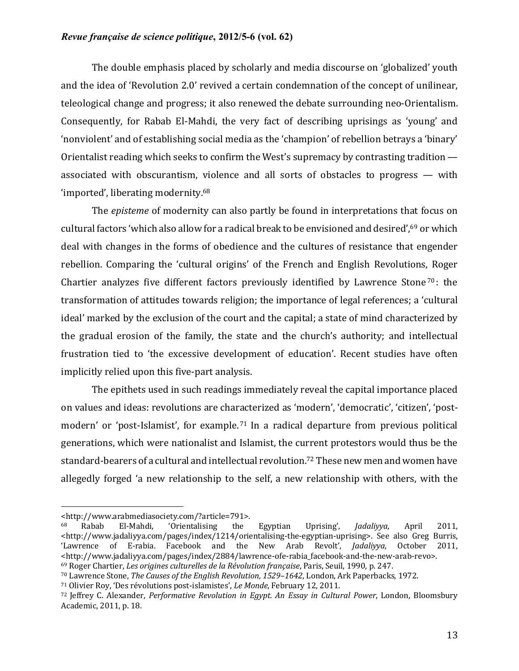The double emphasis placed by scholarly and media discourse on 'globalized' youth and the idea of 'Revolution 2.0' revived a certain condemnation of the concept of unilinear, teleological change and progress; it also renewed the debate surrounding neo-Orientalism. Consequently, for Rabab El-Mahdi, the very fact of describing uprisings as 'young' and 'nonviolent' and of establishing social media as the 'champion' of rebellion betrays a 'binary' Orientalist reading which seeks to confirm the West's supremacy by contrasting tradition  $$ associated with obscurantism, violence and all sorts of obstacles to progress  $-$  with 'imported', liberating modernity.<sup>68</sup>

The *episteme* of modernity can also partly be found in interpretations that focus on cultural factors 'which also allow for a radical break to be envisioned and desired',<sup>69</sup> or which deal with changes in the forms of obedience and the cultures of resistance that engender rebellion. Comparing the 'cultural origins' of the French and English Revolutions, Roger Chartier analyzes five different factors previously identified by Lawrence Stone<sup>70</sup>: the transformation of attitudes towards religion; the importance of legal references; a 'cultural ideal' marked by the exclusion of the court and the capital; a state of mind characterized by the gradual erosion of the family, the state and the church's authority; and intellectual frustration tied to 'the excessive development of education'. Recent studies have often implicitly relied upon this five-part analysis.

The epithets used in such readings immediately reveal the capital importance placed on values and ideas: revolutions are characterized as 'modern', 'democratic', 'citizen', 'postmodern' or 'post-Islamist', for example.<sup>71</sup> In a radical departure from previous political generations, which were nationalist and Islamist, the current protestors would thus be the standard-bearers of a cultural and intellectual revolution.<sup>72</sup> These new men and women have allegedly forged 'a new relationship to the self, a new relationship with others, with the

<sup>&</sup>lt;http://www.arabmediasociety.com/?article=791>.

<sup>68</sup> Rabab El-Mahdi, 'Orientalising the Egyptian Uprising', *Jadaliyya*, April 2011, <http://www.jadaliyya.com/pages/index/1214/orientalising-the-egyptian-uprising>. See also Greg Burris, 'Lawrence of E-rabia. Facebook and the New Arab Revolt', *Jadaliyya*, October 2011, <http://www.jadaliyya.com/pages/index/2884/lawrence-ofe-rabia\_facebook-and-the-new-arab-revo>. <sup>69</sup> Roger Chartier, *Les origines culturelles de la Révolution française*, Paris, Seuil, 1990, p. 247.

<sup>&</sup>lt;sup>70</sup> Lawrence Stone, *The Causes of the English Revolution, 1529-1642*, London, Ark Paperbacks, 1972.

<sup>&</sup>lt;sup>71</sup> Olivier Roy, 'Des révolutions post-islamistes', *Le Monde*, February 12, 2011.

<sup>72</sup> Jeffrey C. Alexander, *Performative Revolution in Egypt. An Essay in Cultural Power*, London, Bloomsbury Academic, 2011, p. 18.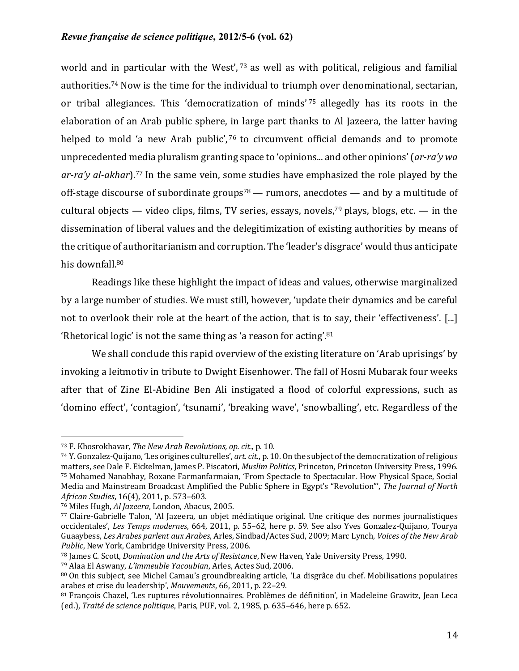world and in particular with the West',  $73$  as well as with political, religious and familial authorities.<sup>74</sup> Now is the time for the individual to triumph over denominational, sectarian, or tribal allegiances. This 'democratization of minds' 75 allegedly has its roots in the elaboration of an Arab public sphere, in large part thanks to Al Jazeera, the latter having helped to mold 'a new Arab public',  $76$  to circumvent official demands and to promote unprecedented media pluralism granting space to 'opinions... and other opinions' (*ar-ra'y wa* ar-ra'y al-akhar).<sup>77</sup> In the same vein, some studies have emphasized the role played by the off-stage discourse of subordinate groups<sup>78</sup> — rumors, anecdotes — and by a multitude of cultural objects — video clips, films, TV series, essays, novels,<sup>79</sup> plays, blogs, etc. — in the dissemination of liberal values and the delegitimization of existing authorities by means of the critique of authoritarianism and corruption. The 'leader's disgrace' would thus anticipate his downfall.<sup>80</sup>

Readings like these highlight the impact of ideas and values, otherwise marginalized by a large number of studies. We must still, however, 'update their dynamics and be careful not to overlook their role at the heart of the action, that is to say, their 'effectiveness'. [...] 'Rhetorical logic' is not the same thing as 'a reason for acting'. $81$ 

We shall conclude this rapid overview of the existing literature on 'Arab uprisings' by invoking a leitmotiv in tribute to Dwight Eisenhower. The fall of Hosni Mubarak four weeks after that of Zine El-Abidine Ben Ali instigated a flood of colorful expressions, such as 'domino effect', 'contagion', 'tsunami', 'breaking wave', 'snowballing', etc. Regardless of the

<sup>73</sup> F. Khosrokhavar, *The New Arab Revolutions, op. cit.*, p. 10.

<sup>74</sup> Y. Gonzalez-Quijano, 'Les origines culturelles', *art. cit.*, p. 10. On the subject of the democratization of religious matters, see Dale F. Eickelman, James P. Piscatori, *Muslim Politics*, Princeton, Princeton University Press, 1996. 75 Mohamed Nanabhay, Roxane Farmanfarmaian, 'From Spectacle to Spectacular. How Physical Space, Social Media and Mainstream Broadcast Amplified the Public Sphere in Egypt's "Revolution"', *The Journal of North African Studies*, 16(4), 2011, p. 573–603.

<sup>&</sup>lt;sup>76</sup> Miles Hugh, *Al Jazeera*, London, Abacus, 2005.

<sup>77</sup> Claire-Gabrielle Talon, 'Al Jazeera, un objet médiatique original. Une critique des normes journalistiques occidentales', *Les Temps modernes*, 664, 2011, p. 55-62, here p. 59. See also Yves Gonzalez-Quijano, Tourya Guaaybess, Les Arabes parlent aux Arabes, Arles, Sindbad/Actes Sud, 2009; Marc Lynch, Voices of the New Arab Public, New York, Cambridge University Press, 2006.

<sup>&</sup>lt;sup>78</sup> James C. Scott, *Domination and the Arts of Resistance*, New Haven, Yale University Press, 1990.

<sup>79</sup> Alaa El Aswany, *L'immeuble Yacoubian*, Arles, Actes Sud, 2006.

<sup>80</sup> On this subject, see Michel Camau's groundbreaking article, 'La disgrâce du chef. Mobilisations populaires arabes et crise du leadership', *Mouvements*, 66, 2011, p. 22-29.

<sup>81</sup> François Chazel, 'Les ruptures révolutionnaires. Problèmes de définition', in Madeleine Grawitz, Jean Leca (ed.), *Traité de science politique*, Paris, PUF, vol. 2, 1985, p. 635-646, here p. 652.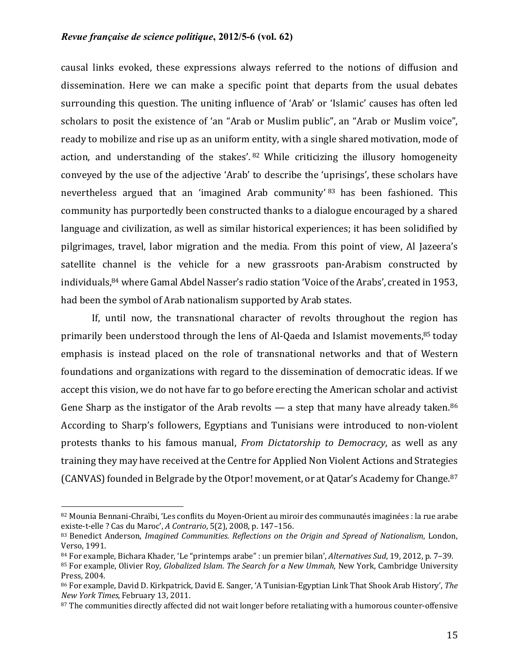causal links evoked, these expressions always referred to the notions of diffusion and dissemination. Here we can make a specific point that departs from the usual debates surrounding this question. The uniting influence of 'Arab' or 'Islamic' causes has often led scholars to posit the existence of 'an "Arab or Muslim public", an "Arab or Muslim voice", ready to mobilize and rise up as an uniform entity, with a single shared motivation, mode of action, and understanding of the stakes'.  $82$  While criticizing the illusory homogeneity conveyed by the use of the adjective 'Arab' to describe the 'uprisings', these scholars have nevertheless argued that an 'imagined Arab community' 83 has been fashioned. This community has purportedly been constructed thanks to a dialogue encouraged by a shared language and civilization, as well as similar historical experiences; it has been solidified by pilgrimages, travel, labor migration and the media. From this point of view, Al Jazeera's satellite channel is the vehicle for a new grassroots pan-Arabism constructed by individuals,  $84$  where Gamal Abdel Nasser's radio station 'Voice of the Arabs', created in 1953, had been the symbol of Arab nationalism supported by Arab states.

If, until now, the transnational character of revolts throughout the region has primarily been understood through the lens of Al-Qaeda and Islamist movements, $85$  today emphasis is instead placed on the role of transnational networks and that of Western foundations and organizations with regard to the dissemination of democratic ideas. If we accept this vision, we do not have far to go before erecting the American scholar and activist Gene Sharp as the instigator of the Arab revolts  $-$  a step that many have already taken.<sup>86</sup> According to Sharp's followers, Egyptians and Tunisians were introduced to non-violent protests thanks to his famous manual, *From Dictatorship to Democracy*, as well as any training they may have received at the Centre for Applied Non Violent Actions and Strategies (CANVAS) founded in Belgrade by the Otpor! movement, or at Qatar's Academy for Change.<sup>87</sup>

<sup>82</sup> Mounia Bennani-Chraïbi, 'Les conflits du Moyen-Orient au miroir des communautés imaginées : la rue arabe existe-t-elle ? Cas du Maroc', *A Contrario*, 5(2), 2008, p. 147-156.

<sup>83</sup> Benedict Anderson, *Imagined Communities. Reflections on the Origin and Spread of Nationalism*, London, Verso, 1991.

<sup>84</sup> For example, Bichara Khader, 'Le "printemps arabe" : un premier bilan', *Alternatives Sud*, 19, 2012, p. 7–39. 85 For example, Olivier Roy, *Globalized Islam. The Search for a New Ummah*, New York, Cambridge University Press, 2004.

<sup>86</sup> For example, David D. Kirkpatrick, David E. Sanger, 'A Tunisian-Egyptian Link That Shook Arab History', The *New York Times*, February 13, 2011.

<sup>87</sup> The communities directly affected did not wait longer before retaliating with a humorous counter-offensive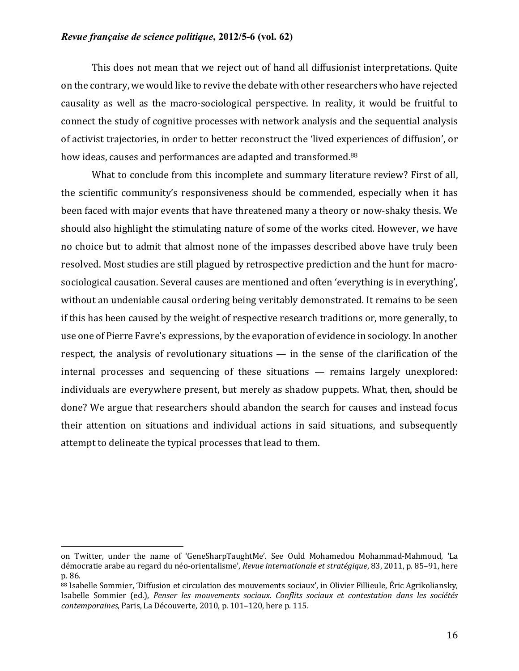This does not mean that we reject out of hand all diffusionist interpretations. Quite on the contrary, we would like to revive the debate with other researchers who have rejected causality as well as the macro-sociological perspective. In reality, it would be fruitful to connect the study of cognitive processes with network analysis and the sequential analysis of activist trajectories, in order to better reconstruct the 'lived experiences of diffusion', or how ideas, causes and performances are adapted and transformed.<sup>88</sup>

What to conclude from this incomplete and summary literature review? First of all, the scientific community's responsiveness should be commended, especially when it has been faced with major events that have threatened many a theory or now-shaky thesis. We should also highlight the stimulating nature of some of the works cited. However, we have no choice but to admit that almost none of the impasses described above have truly been resolved. Most studies are still plagued by retrospective prediction and the hunt for macrosociological causation. Several causes are mentioned and often 'everything is in everything', without an undeniable causal ordering being veritably demonstrated. It remains to be seen if this has been caused by the weight of respective research traditions or, more generally, to use one of Pierre Favre's expressions, by the evaporation of evidence in sociology. In another respect, the analysis of revolutionary situations  $-$  in the sense of the clarification of the  $internal$  processes and sequencing of these situations  $-$  remains largely unexplored: individuals are everywhere present, but merely as shadow puppets. What, then, should be done? We argue that researchers should abandon the search for causes and instead focus their attention on situations and individual actions in said situations, and subsequently attempt to delineate the typical processes that lead to them.

on Twitter, under the name of 'GeneSharpTaughtMe'. See Ould Mohamedou Mohammad-Mahmoud, 'La démocratie arabe au regard du néo-orientalisme', *Revue internationale et stratégique*, 83, 2011, p. 85–91, here p. 86.

<sup>88</sup> Isabelle Sommier, 'Diffusion et circulation des mouvements sociaux', in Olivier Fillieule, Éric Agrikoliansky, Isabelle Sommier (ed.), *Penser les mouvements sociaux. Conflits sociaux et contestation dans les sociétés contemporaines*, Paris, La Découverte, 2010, p. 101-120, here p. 115.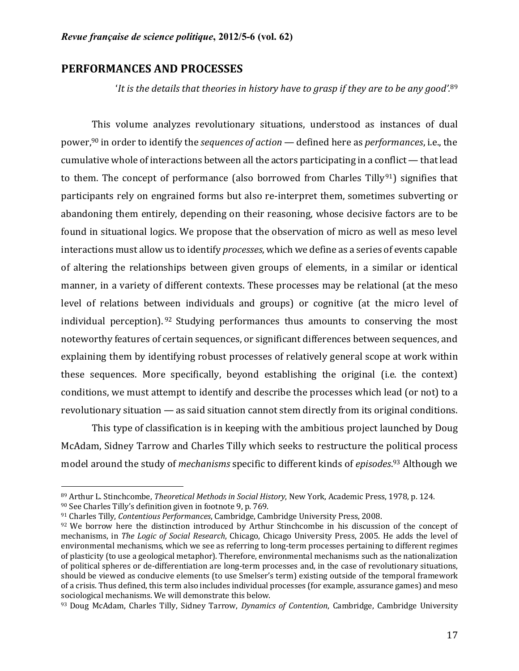# **PERFORMANCES AND PROCESSES**

'It is the details that theories in history have to grasp if they are to be any good'.<sup>89</sup>

This volume analyzes revolutionary situations, understood as instances of dual power,<sup>90</sup> in order to identify the *sequences of action* — defined here as *performances*, i.e., the cumulative whole of interactions between all the actors participating in a conflict  $-$  that lead to them. The concept of performance (also borrowed from Charles Tilly<sup>91</sup>) signifies that participants rely on engrained forms but also re-interpret them, sometimes subverting or abandoning them entirely, depending on their reasoning, whose decisive factors are to be found in situational logics. We propose that the observation of micro as well as meso level interactions must allow us to identify *processes*, which we define as a series of events capable of altering the relationships between given groups of elements, in a similar or identical manner, in a variety of different contexts. These processes may be relational (at the meso level of relations between individuals and groups) or cognitive (at the micro level of individual perception).  $92$  Studying performances thus amounts to conserving the most noteworthy features of certain sequences, or significant differences between sequences, and explaining them by identifying robust processes of relatively general scope at work within these sequences. More specifically, beyond establishing the original (i.e. the context) conditions, we must attempt to identify and describe the processes which lead (or not) to a revolutionary situation  $\sim$  as said situation cannot stem directly from its original conditions.

This type of classification is in keeping with the ambitious project launched by Doug McAdam, Sidney Tarrow and Charles Tilly which seeks to restructure the political process model around the study of *mechanisms* specific to different kinds of *episodes*.<sup>93</sup> Although we

<sup>89</sup> Arthur L. Stinchcombe, *Theoretical Methods in Social History*, New York, Academic Press, 1978, p. 124.

 $90$  See Charles Tilly's definition given in footnote 9, p. 769.

<sup>&</sup>lt;sup>91</sup> Charles Tilly, *Contentious Performances*, Cambridge, Cambridge University Press, 2008.

 $92$  We borrow here the distinction introduced by Arthur Stinchcombe in his discussion of the concept of mechanisms, in *The Logic of Social Research*, Chicago, Chicago University Press, 2005. He adds the level of environmental mechanisms, which we see as referring to long-term processes pertaining to different regimes of plasticity (to use a geological metaphor). Therefore, environmental mechanisms such as the nationalization of political spheres or de-differentiation are long-term processes and, in the case of revolutionary situations, should be viewed as conducive elements (to use Smelser's term) existing outside of the temporal framework of a crisis. Thus defined, this term also includes individual processes (for example, assurance games) and meso sociological mechanisms. We will demonstrate this below.

<sup>93</sup> Doug McAdam, Charles Tilly, Sidney Tarrow, *Dynamics of Contention*, Cambridge, Cambridge University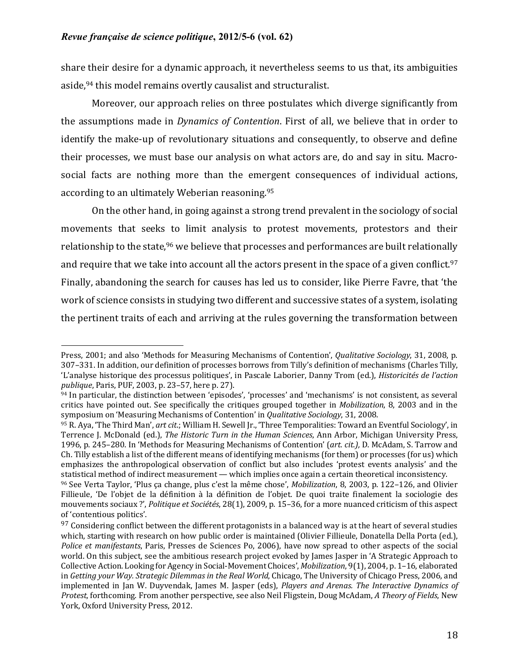share their desire for a dynamic approach, it nevertheless seems to us that, its ambiguities aside,<sup>94</sup> this model remains overtly causalist and structuralist.

Moreover, our approach relies on three postulates which diverge significantly from the assumptions made in *Dynamics of Contention*. First of all, we believe that in order to identify the make-up of revolutionary situations and consequently, to observe and define their processes, we must base our analysis on what actors are, do and say in situ. Macrosocial facts are nothing more than the emergent consequences of individual actions, according to an ultimately Weberian reasoning.<sup>95</sup>

On the other hand, in going against a strong trend prevalent in the sociology of social movements that seeks to limit analysis to protest movements, protestors and their relationship to the state,<sup>96</sup> we believe that processes and performances are built relationally and require that we take into account all the actors present in the space of a given conflict.<sup>97</sup> Finally, abandoning the search for causes has led us to consider, like Pierre Favre, that 'the work of science consists in studying two different and successive states of a system, isolating the pertinent traits of each and arriving at the rules governing the transformation between

Press, 2001; and also 'Methods for Measuring Mechanisms of Contention', *Qualitative Sociology*, 31, 2008, p. 307–331. In addition, our definition of processes borrows from Tilly's definition of mechanisms (Charles Tilly, 'L'analyse historique des processus politiques', in Pascale Laborier, Danny Trom (ed.), *Historicités de l'action publique*, Paris, PUF, 2003, p. 23-57, here p. 27).

<sup>94</sup> In particular, the distinction between 'episodes', 'processes' and 'mechanisms' is not consistent, as several critics have pointed out. See specifically the critiques grouped together in *Mobilization*, 8, 2003 and in the symposium on 'Measuring Mechanisms of Contention' in *Qualitative Sociology*, 31, 2008.

<sup>95</sup> R. Aya, 'The Third Man', *art cit.*; William H. Sewell Jr., 'Three Temporalities: Toward an Eventful Sociology', in Terrence J. McDonald (ed.), *The Historic Turn in the Human Sciences*, Ann Arbor, Michigan University Press, 1996, p. 245–280. In 'Methods for Measuring Mechanisms of Contention' (*art. cit.*), D. McAdam, S. Tarrow and Ch. Tilly establish a list of the different means of identifying mechanisms (for them) or processes (for us) which emphasizes the anthropological observation of conflict but also includes 'protest events analysis' and the statistical method of indirect measurement — which implies once again a certain theoretical inconsistency.

<sup>&</sup>lt;sup>96</sup> See Verta Taylor, 'Plus ça change, plus c'est la même chose', *Mobilization*, 8, 2003, p. 122–126, and Olivier Fillieule, 'De l'objet de la définition à la définition de l'objet. De quoi traite finalement la sociologie des mouvements sociaux ?', *Politique et Sociétés*, 28(1), 2009, p. 15–36, for a more nuanced criticism of this aspect of 'contentious politics'.

 $97$  Considering conflict between the different protagonists in a balanced way is at the heart of several studies which, starting with research on how public order is maintained (Olivier Fillieule, Donatella Della Porta (ed.), *Police et manifestants*, Paris, Presses de Sciences Po, 2006), have now spread to other aspects of the social world. On this subject, see the ambitious research project evoked by James Jasper in 'A Strategic Approach to Collective Action. Looking for Agency in Social-Movement Choices', *Mobilization*, 9(1), 2004, p. 1–16, elaborated in *Getting your Way. Strategic Dilemmas in the Real World*, Chicago, The University of Chicago Press, 2006, and implemented in Jan W. Duyvendak, James M. Jasper (eds), *Players and Arenas. The Interactive Dynamics of Protest*, forthcoming. From another perspective, see also Neil Fligstein, Doug McAdam, *A Theory of Fields*, New York, Oxford University Press, 2012.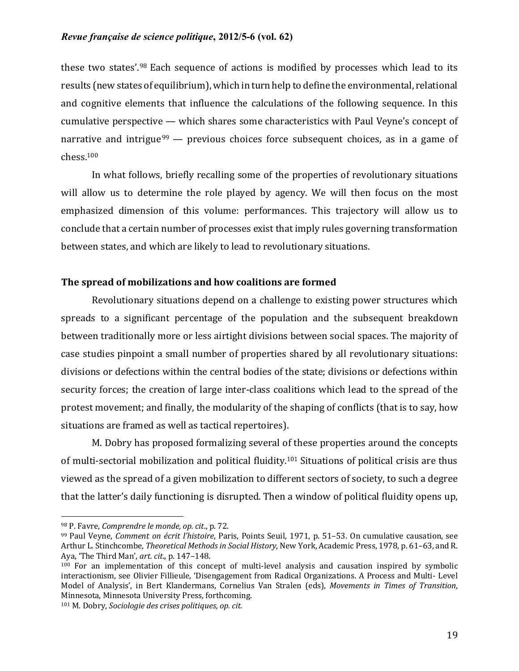these two states'.<sup>98</sup> Each sequence of actions is modified by processes which lead to its results (new states of equilibrium), which in turn help to define the environmental, relational and cognitive elements that influence the calculations of the following sequence. In this cumulative perspective  $-$  which shares some characteristics with Paul Veyne's concept of narrative and intrigue  $99$  — previous choices force subsequent choices, as in a game of chess.100

In what follows, briefly recalling some of the properties of revolutionary situations will allow us to determine the role played by agency. We will then focus on the most emphasized dimension of this volume: performances. This trajectory will allow us to conclude that a certain number of processes exist that imply rules governing transformation between states, and which are likely to lead to revolutionary situations.

# The spread of mobilizations and how coalitions are formed

Revolutionary situations depend on a challenge to existing power structures which spreads to a significant percentage of the population and the subsequent breakdown between traditionally more or less airtight divisions between social spaces. The majority of case studies pinpoint a small number of properties shared by all revolutionary situations: divisions or defections within the central bodies of the state; divisions or defections within security forces; the creation of large inter-class coalitions which lead to the spread of the protest movement; and finally, the modularity of the shaping of conflicts (that is to say, how situations are framed as well as tactical repertoires).

M. Dobry has proposed formalizing several of these properties around the concepts of multi-sectorial mobilization and political fluidity.<sup>101</sup> Situations of political crisis are thus viewed as the spread of a given mobilization to different sectors of society, to such a degree that the latter's daily functioning is disrupted. Then a window of political fluidity opens up,

<sup>98</sup> P. Favre, *Comprendre le monde*, *op. cit.*, p. 72.

<sup>99</sup> Paul Veyne, *Comment on écrit l'histoire*, Paris, Points Seuil, 1971, p. 51-53. On cumulative causation, see Arthur L. Stinchcombe, *Theoretical Methods in Social History*, New York, Academic Press, 1978, p. 61–63, and R. Aya, 'The Third Man', *art. cit.*, p. 147-148.

 $100$  For an implementation of this concept of multi-level analysis and causation inspired by symbolic interactionism, see Olivier Fillieule, 'Disengagement from Radical Organizations. A Process and Multi- Level Model of Analysis', in Bert Klandermans, Cornelius Van Stralen (eds), *Movements in Times of Transition*, Minnesota, Minnesota University Press, forthcoming.

<sup>101</sup> M. Dobry, *Sociologie des crises politiques, op. cit.*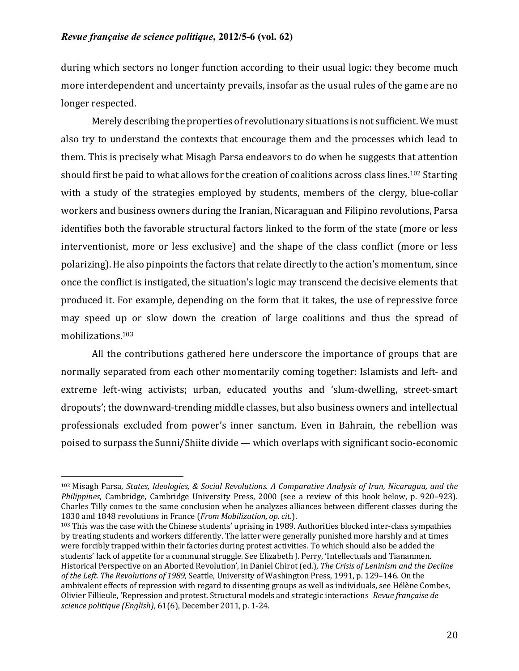during which sectors no longer function according to their usual logic: they become much more interdependent and uncertainty prevails, insofar as the usual rules of the game are no longer respected.

Merely describing the properties of revolutionary situations is not sufficient. We must also try to understand the contexts that encourage them and the processes which lead to them. This is precisely what Misagh Parsa endeavors to do when he suggests that attention should first be paid to what allows for the creation of coalitions across class lines.<sup>102</sup> Starting with a study of the strategies employed by students, members of the clergy, blue-collar workers and business owners during the Iranian, Nicaraguan and Filipino revolutions, Parsa identifies both the favorable structural factors linked to the form of the state (more or less interventionist, more or less exclusive) and the shape of the class conflict (more or less polarizing). He also pinpoints the factors that relate directly to the action's momentum, since once the conflict is instigated, the situation's logic may transcend the decisive elements that produced it. For example, depending on the form that it takes, the use of repressive force may speed up or slow down the creation of large coalitions and thus the spread of mobilizations. 103

All the contributions gathered here underscore the importance of groups that are normally separated from each other momentarily coming together: Islamists and left- and extreme left-wing activists; urban, educated youths and 'slum-dwelling, street-smart dropouts'; the downward-trending middle classes, but also business owners and intellectual professionals excluded from power's inner sanctum. Even in Bahrain, the rebellion was poised to surpass the Sunni/Shiite divide — which overlaps with significant socio-economic

<sup>&</sup>lt;sup>102</sup> Misagh Parsa, *States, Ideologies, & Social Revolutions. A Comparative Analysis of Iran, Nicaragua, and the Philippines*, Cambridge, Cambridge University Press, 2000 (see a review of this book below, p. 920–923). Charles Tilly comes to the same conclusion when he analyzes alliances between different classes during the 1830 and 1848 revolutions in France (*From Mobilization, op. cit.*).

 $103$  This was the case with the Chinese students' uprising in 1989. Authorities blocked inter-class sympathies by treating students and workers differently. The latter were generally punished more harshly and at times were forcibly trapped within their factories during protest activities. To which should also be added the students' lack of appetite for a communal struggle. See Elizabeth J. Perry, 'Intellectuals and Tiananmen. Historical Perspective on an Aborted Revolution', in Daniel Chirot (ed.), *The Crisis of Leninism and the Decline* of the Left. The Revolutions of 1989, Seattle, University of Washington Press, 1991, p. 129-146. On the ambivalent effects of repression with regard to dissenting groups as well as individuals, see Hélène Combes, Olivier Fillieule, 'Repression and protest. Structural models and strategic interactions *Revue française de science politique (English)*, 61(6), December 2011, p. 1-24.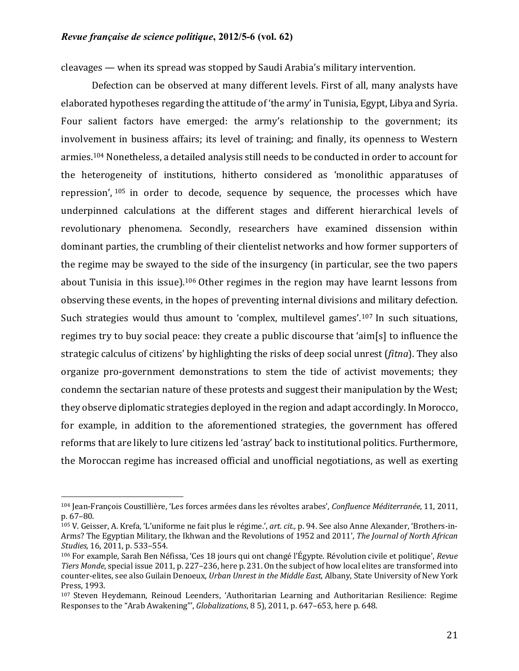$cleavages$  — when its spread was stopped by Saudi Arabia's military intervention.

Defection can be observed at many different levels. First of all, many analysts have elaborated hypotheses regarding the attitude of 'the army' in Tunisia, Egypt, Libya and Syria. Four salient factors have emerged: the army's relationship to the government; its involvement in business affairs; its level of training; and finally, its openness to Western armies.<sup>104</sup> Nonetheless, a detailed analysis still needs to be conducted in order to account for the heterogeneity of institutions, hitherto considered as 'monolithic apparatuses of repression',  $105$  in order to decode, sequence by sequence, the processes which have underpinned calculations at the different stages and different hierarchical levels of revolutionary phenomena. Secondly, researchers have examined dissension within dominant parties, the crumbling of their clientelist networks and how former supporters of the regime may be swayed to the side of the insurgency (in particular, see the two papers about Tunisia in this issue).<sup>106</sup> Other regimes in the region may have learnt lessons from observing these events, in the hopes of preventing internal divisions and military defection. Such strategies would thus amount to 'complex, multilevel games'.<sup>107</sup> In such situations, regimes try to buy social peace: they create a public discourse that 'aim[s] to influence the strategic calculus of citizens' by highlighting the risks of deep social unrest (*fitna*). They also organize pro-government demonstrations to stem the tide of activist movements; they condemn the sectarian nature of these protests and suggest their manipulation by the West; they observe diplomatic strategies deployed in the region and adapt accordingly. In Morocco, for example, in addition to the aforementioned strategies, the government has offered reforms that are likely to lure citizens led 'astray' back to institutional politics. Furthermore, the Moroccan regime has increased official and unofficial negotiations, as well as exerting

<sup>104</sup> Jean-François Coustillière, 'Les forces armées dans les révoltes arabes', *Confluence Méditerranée*, 11, 2011, p. 67–80.

<sup>105</sup> V. Geisser, A. Krefa, 'L'uniforme ne fait plus le régime.', art. cit., p. 94. See also Anne Alexander, 'Brothers-in-Arms? The Egyptian Military, the Ikhwan and the Revolutions of 1952 and 2011', *The Journal of North African Studies*, 16, 2011, p. 533-554.

<sup>&</sup>lt;sup>106</sup> For example, Sarah Ben Néfissa, 'Ces 18 jours qui ont changé l'Égypte. Révolution civile et politique', *Revue Tiers Monde*, special issue 2011, p. 227–236, here p. 231, On the subject of how local elites are transformed into counter-elites, see also Guilain Denoeux, *Urban Unrest in the Middle East*, Albany, State University of New York Press, 1993.

<sup>107</sup> Steven Heydemann, Reinoud Leenders, 'Authoritarian Learning and Authoritarian Resilience: Regime Responses to the "Arab Awakening"', *Globalizations*, 8 5), 2011, p. 647-653, here p. 648.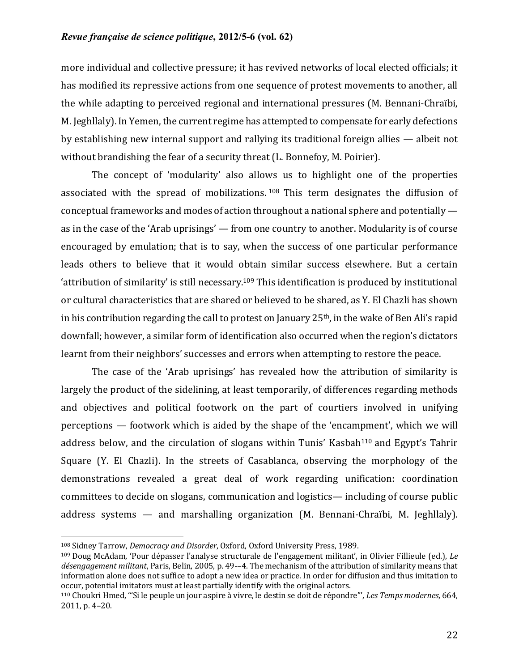more individual and collective pressure; it has revived networks of local elected officials; it has modified its repressive actions from one sequence of protest movements to another, all the while adapting to perceived regional and international pressures (M. Bennani-Chraïbi, M. Jeghllaly). In Yemen, the current regime has attempted to compensate for early defections by establishing new internal support and rallying its traditional foreign allies  $-$  albeit not without brandishing the fear of a security threat (L. Bonnefoy, M. Poirier).

The concept of 'modularity' also allows us to highlight one of the properties associated with the spread of mobilizations.  $108$  This term designates the diffusion of conceptual frameworks and modes of action throughout a national sphere and potentially  $$ as in the case of the 'Arab uprisings'  $-$  from one country to another. Modularity is of course encouraged by emulation; that is to say, when the success of one particular performance leads others to believe that it would obtain similar success elsewhere. But a certain 'attribution of similarity' is still necessary.<sup>109</sup> This identification is produced by institutional or cultural characteristics that are shared or believed to be shared, as Y. El Chazli has shown in his contribution regarding the call to protest on January  $25<sup>th</sup>$ , in the wake of Ben Ali's rapid downfall; however, a similar form of identification also occurred when the region's dictators learnt from their neighbors' successes and errors when attempting to restore the peace.

The case of the 'Arab uprisings' has revealed how the attribution of similarity is largely the product of the sidelining, at least temporarily, of differences regarding methods and objectives and political footwork on the part of courtiers involved in unifying perceptions  $-$  footwork which is aided by the shape of the 'encampment', which we will address below, and the circulation of slogans within Tunis' Kasbah<sup>110</sup> and Egypt's Tahrir Square (Y. El Chazli). In the streets of Casablanca, observing the morphology of the demonstrations revealed a great deal of work regarding unification: coordination committees to decide on slogans, communication and logistics— including of course public address systems  $-$  and marshalling organization (M. Bennani-Chraïbi, M. Jeghllaly).

<sup>&</sup>lt;sup>108</sup> Sidney Tarrow, *Democracy and Disorder*, Oxford, Oxford University Press, 1989.

 $109$  Doug McAdam, 'Pour dépasser l'analyse structurale de l'engagement militant', in Olivier Fillieule (ed.), *Le* désengagement militant, Paris, Belin, 2005, p. 49-–4. The mechanism of the attribution of similarity means that information alone does not suffice to adopt a new idea or practice. In order for diffusion and thus imitation to occur, potential imitators must at least partially identify with the original actors.

<sup>110</sup> Choukri Hmed, "Si le peuple un jour aspire à vivre, le destin se doit de répondre"', *Les Temps modernes*, 664, 2011, p. 4-20.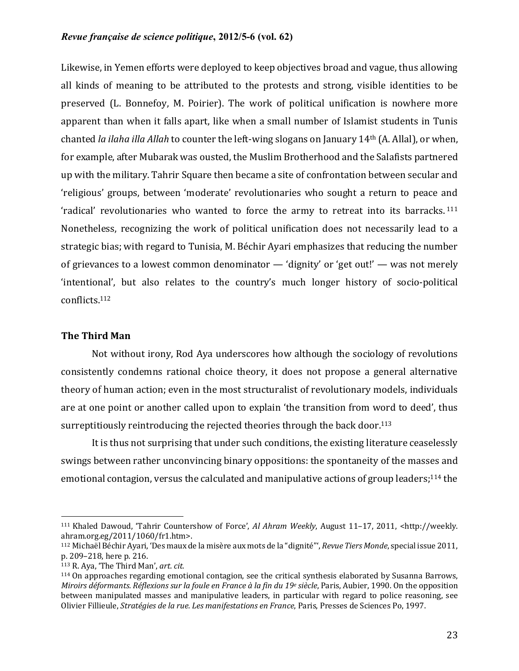Likewise, in Yemen efforts were deployed to keep objectives broad and vague, thus allowing all kinds of meaning to be attributed to the protests and strong, visible identities to be preserved (L. Bonnefoy, M. Poirier). The work of political unification is nowhere more apparent than when it falls apart, like when a small number of Islamist students in Tunis chanted *la ilaha illa Allah* to counter the left-wing slogans on January 14<sup>th</sup> (A. Allal), or when, for example, after Mubarak was ousted, the Muslim Brotherhood and the Salafists partnered up with the military. Tahrir Square then became a site of confrontation between secular and 'religious' groups, between 'moderate' revolutionaries who sought a return to peace and 'radical' revolutionaries who wanted to force the army to retreat into its barracks.<sup>111</sup> Nonetheless, recognizing the work of political unification does not necessarily lead to a strategic bias; with regard to Tunisia, M. Béchir Ayari emphasizes that reducing the number of grievances to a lowest common denominator  $-$  'dignity' or 'get out!'  $-$  was not merely 'intentional', but also relates to the country's much longer history of socio-political conflicts.112

# **The Third Man**

Not without irony, Rod Aya underscores how although the sociology of revolutions consistently condemns rational choice theory, it does not propose a general alternative theory of human action; even in the most structuralist of revolutionary models, individuals are at one point or another called upon to explain 'the transition from word to deed', thus surreptitiously reintroducing the rejected theories through the back door.<sup>113</sup>

It is thus not surprising that under such conditions, the existing literature ceaselessly swings between rather unconvincing binary oppositions: the spontaneity of the masses and emotional contagion, versus the calculated and manipulative actions of group leaders;<sup>114</sup> the

<sup>&</sup>lt;sup>111</sup> Khaled Dawoud, 'Tahrir Countershow of Force', *Al Ahram Weekly*, August 11–17, 2011, <http://weekly. ahram.org.eg/2011/1060/fr1.htm>.

<sup>&</sup>lt;sup>112</sup> Michaël Béchir Ayari, 'Des maux de la misère aux mots de la "dignité"', *Revue Tiers Monde*, special issue 2011, p. 209-218, here p. 216.

<sup>113</sup> R. Aya, 'The Third Man', *art. cit.* 

<sup>&</sup>lt;sup>114</sup> On approaches regarding emotional contagion, see the critical synthesis elaborated by Susanna Barrows. *Miroirs déformants. Réflexions sur la foule en France à la fin du 19e siècle*, Paris, Aubier, 1990. On the opposition between manipulated masses and manipulative leaders, in particular with regard to police reasoning, see Olivier Fillieule, *Stratégies de la rue. Les manifestations en France*, Paris, Presses de Sciences Po, 1997.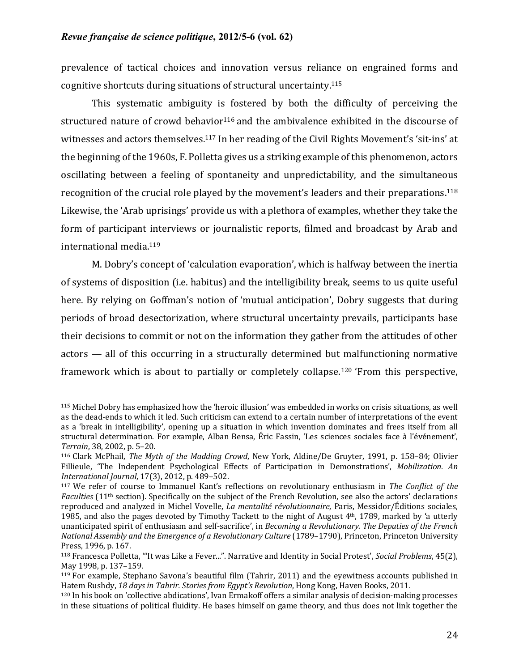prevalence of tactical choices and innovation versus reliance on engrained forms and cognitive shortcuts during situations of structural uncertainty.<sup>115</sup>

This systematic ambiguity is fostered by both the difficulty of perceiving the structured nature of crowd behavior<sup>116</sup> and the ambivalence exhibited in the discourse of witnesses and actors themselves.<sup>117</sup> In her reading of the Civil Rights Movement's 'sit-ins' at the beginning of the 1960s, F. Polletta gives us a striking example of this phenomenon, actors oscillating between a feeling of spontaneity and unpredictability, and the simultaneous recognition of the crucial role played by the movement's leaders and their preparations.<sup>118</sup> Likewise, the 'Arab uprisings' provide us with a plethora of examples, whether they take the form of participant interviews or journalistic reports, filmed and broadcast by Arab and international media.<sup>119</sup>

M. Dobry's concept of 'calculation evaporation', which is halfway between the inertia of systems of disposition (i.e. habitus) and the intelligibility break, seems to us quite useful here. By relying on Goffman's notion of 'mutual anticipation', Dobry suggests that during periods of broad desectorization, where structural uncertainty prevails, participants base their decisions to commit or not on the information they gather from the attitudes of other  $actors$  — all of this occurring in a structurally determined but malfunctioning normative framework which is about to partially or completely collapse.<sup>120</sup> 'From this perspective,

 $115$  Michel Dobry has emphasized how the 'heroic illusion' was embedded in works on crisis situations, as well as the dead-ends to which it led. Such criticism can extend to a certain number of interpretations of the event as a 'break in intelligibility', opening up a situation in which invention dominates and frees itself from all structural determination. For example, Alban Bensa, Éric Fassin, 'Les sciences sociales face à l'événement', *Terrain*, 38, 2002, p. 5-20.

<sup>116</sup> Clark McPhail, *The Myth of the Madding Crowd*, New York, Aldine/De Gruyter, 1991, p. 158–84; Olivier Fillieule, 'The Independent Psychological Effects of Participation in Demonstrations', *Mobilization. An International Journal*, 17(3), 2012, p. 489-502.

<sup>&</sup>lt;sup>117</sup> We refer of course to Immanuel Kant's reflections on revolutionary enthusiasm in *The Conflict of the Faculties* (11<sup>th</sup> section). Specifically on the subject of the French Revolution, see also the actors' declarations reproduced and analyzed in Michel Vovelle, *La mentalité révolutionnaire*, Paris, Messidor/Éditions sociales, 1985, and also the pages devoted by Timothy Tackett to the night of August  $4<sup>th</sup>$ , 1789, marked by 'a utterly unanticipated spirit of enthusiasm and self-sacrifice', in *Becoming a Revolutionary. The Deputies of the French National Assembly and the Emergence of a Revolutionary Culture* (1789–1790), Princeton, Princeton University Press, 1996, p. 167.

<sup>118</sup> Francesca Polletta, "It was Like a Fever...". Narrative and Identity in Social Protest', *Social Problems*, 45(2), May 1998, p. 137-159.

 $119$  For example, Stephano Savona's beautiful film (Tahrir, 2011) and the evewitness accounts published in Hatem Rushdy, 18 days in Tahrir. Stories from Egypt's Revolution, Hong Kong, Haven Books, 2011.

<sup>120</sup> In his book on 'collective abdications', Ivan Ermakoff offers a similar analysis of decision-making processes in these situations of political fluidity. He bases himself on game theory, and thus does not link together the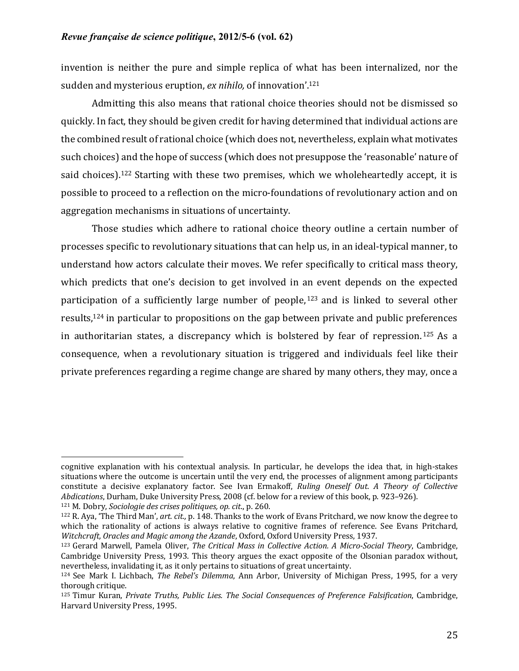invention is neither the pure and simple replica of what has been internalized, nor the sudden and mysterious eruption, *ex nihilo*, of innovation'.<sup>121</sup>

Admitting this also means that rational choice theories should not be dismissed so quickly. In fact, they should be given credit for having determined that individual actions are the combined result of rational choice (which does not, nevertheless, explain what motivates such choices) and the hope of success (which does not presuppose the 'reasonable' nature of said choices).<sup>122</sup> Starting with these two premises, which we wholeheartedly accept, it is possible to proceed to a reflection on the micro-foundations of revolutionary action and on aggregation mechanisms in situations of uncertainty.

Those studies which adhere to rational choice theory outline a certain number of processes specific to revolutionary situations that can help us, in an ideal-typical manner, to understand how actors calculate their moves. We refer specifically to critical mass theory, which predicts that one's decision to get involved in an event depends on the expected participation of a sufficiently large number of people,  $123$  and is linked to several other results, $124$  in particular to propositions on the gap between private and public preferences in authoritarian states, a discrepancy which is bolstered by fear of repression.<sup>125</sup> As a consequence, when a revolutionary situation is triggered and individuals feel like their private preferences regarding a regime change are shared by many others, they may, once a

cognitive explanation with his contextual analysis. In particular, he develops the idea that, in high-stakes situations where the outcome is uncertain until the very end, the processes of alignment among participants constitute a decisive explanatory factor. See Ivan Ermakoff, *Ruling Oneself Out. A Theory of Collective Abdications*, Durham, Duke University Press, 2008 (cf. below for a review of this book, p. 923-926).

<sup>&</sup>lt;sup>121</sup> M. Dobry, *Sociologie des crises politiques, op. cit.*, p. 260.

<sup>&</sup>lt;sup>122</sup> R. Aya, 'The Third Man', *art. cit.*, p. 148. Thanks to the work of Evans Pritchard, we now know the degree to which the rationality of actions is always relative to cognitive frames of reference. See Evans Pritchard, *Witchcraft, Oracles and Magic among the Azande, Oxford, Oxford University Press, 1937.* 

<sup>&</sup>lt;sup>123</sup> Gerard Marwell, Pamela Oliver, *The Critical Mass in Collective Action. A Micro-Social Theory*, Cambridge, Cambridge University Press, 1993. This theory argues the exact opposite of the Olsonian paradox without, nevertheless, invalidating it, as it only pertains to situations of great uncertainty.

<sup>&</sup>lt;sup>124</sup> See Mark I. Lichbach, *The Rebel's Dilemma*, Ann Arbor, University of Michigan Press, 1995, for a very thorough critique.

<sup>125</sup> Timur Kuran, Private Truths, Public Lies. The Social Consequences of Preference Falsification, Cambridge, Harvard University Press, 1995.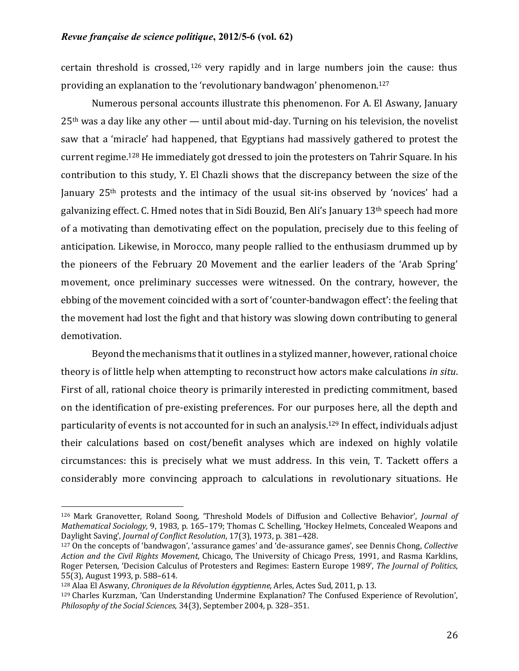certain threshold is crossed,  $126$  very rapidly and in large numbers join the cause: thus providing an explanation to the 'revolutionary bandwagon' phenomenon.<sup>127</sup>

Numerous personal accounts illustrate this phenomenon. For A. El Aswany, January  $25<sup>th</sup>$  was a day like any other — until about mid-day. Turning on his television, the novelist saw that a 'miracle' had happened, that Egyptians had massively gathered to protest the current regime.<sup>128</sup> He immediately got dressed to join the protesters on Tahrir Square. In his contribution to this study, Y. El Chazli shows that the discrepancy between the size of the January 25<sup>th</sup> protests and the intimacy of the usual sit-ins observed by 'novices' had a galvanizing effect. C. Hmed notes that in Sidi Bouzid, Ben Ali's January  $13<sup>th</sup>$  speech had more of a motivating than demotivating effect on the population, precisely due to this feeling of anticipation. Likewise, in Morocco, many people rallied to the enthusiasm drummed up by the pioneers of the February 20 Movement and the earlier leaders of the 'Arab Spring' movement, once preliminary successes were witnessed. On the contrary, however, the ebbing of the movement coincided with a sort of 'counter-bandwagon effect': the feeling that the movement had lost the fight and that history was slowing down contributing to general demotivation.

Beyond the mechanisms that it outlines in a stylized manner, however, rational choice theory is of little help when attempting to reconstruct how actors make calculations *in situ*. First of all, rational choice theory is primarily interested in predicting commitment, based on the identification of pre-existing preferences. For our purposes here, all the depth and particularity of events is not accounted for in such an analysis.<sup>129</sup> In effect, individuals adjust their calculations based on cost/benefit analyses which are indexed on highly volatile circumstances: this is precisely what we must address. In this vein, T. Tackett offers a considerably more convincing approach to calculations in revolutionary situations. He

<sup>126</sup> Mark Granovetter, Roland Soong, 'Threshold Models of Diffusion and Collective Behavior', *Journal of Mathematical Sociology,* 9, 1983, p. 165–179; Thomas C. Schelling, 'Hockey Helmets, Concealed Weapons and Daylight Saving', *Journal of Conflict Resolution*, 17(3), 1973, p. 381-428.

<sup>&</sup>lt;sup>127</sup> On the concepts of 'bandwagon', 'assurance games' and 'de-assurance games', see Dennis Chong, *Collective Action and the Civil Rights Movement*, Chicago, The University of Chicago Press, 1991, and Rasma Karklins, Roger Petersen, 'Decision Calculus of Protesters and Regimes: Eastern Europe 1989', *The Journal of Politics*, 55(3), August 1993, p. 588-614.

<sup>&</sup>lt;sup>128</sup> Alaa El Aswany, *Chroniques de la Révolution égyptienne*, Arles, Actes Sud, 2011, p. 13.

 $129$  Charles Kurzman, 'Can Understanding Undermine Explanation? The Confused Experience of Revolution', *Philosophy of the Social Sciences,* 34(3), September 2004, p. 328-351.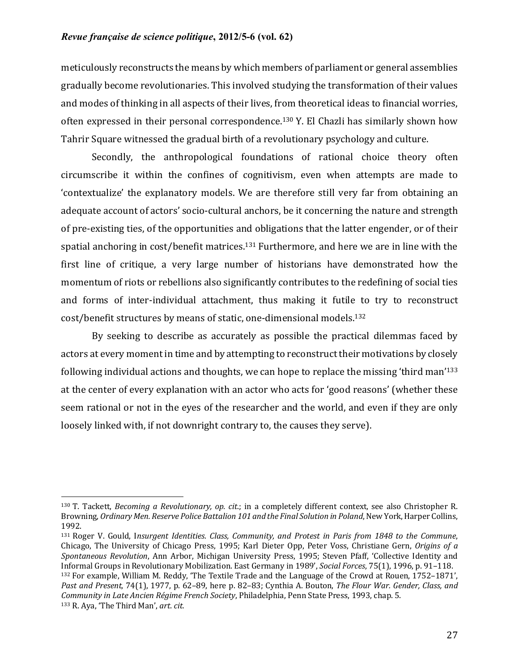meticulously reconstructs the means by which members of parliament or general assemblies gradually become revolutionaries. This involved studying the transformation of their values and modes of thinking in all aspects of their lives, from theoretical ideas to financial worries, often expressed in their personal correspondence.<sup>130</sup> Y. El Chazli has similarly shown how Tahrir Square witnessed the gradual birth of a revolutionary psychology and culture.

Secondly, the anthropological foundations of rational choice theory often circumscribe it within the confines of cognitivism, even when attempts are made to 'contextualize' the explanatory models. We are therefore still very far from obtaining an adequate account of actors' socio-cultural anchors, be it concerning the nature and strength of pre-existing ties, of the opportunities and obligations that the latter engender, or of their spatial anchoring in cost/benefit matrices.<sup>131</sup> Furthermore, and here we are in line with the first line of critique, a very large number of historians have demonstrated how the momentum of riots or rebellions also significantly contributes to the redefining of social ties and forms of inter-individual attachment, thus making it futile to try to reconstruct cost/benefit structures by means of static, one-dimensional models.<sup>132</sup>

By seeking to describe as accurately as possible the practical dilemmas faced by actors at every moment in time and by attempting to reconstruct their motivations by closely following individual actions and thoughts, we can hope to replace the missing 'third man'<sup>133</sup> at the center of every explanation with an actor who acts for 'good reasons' (whether these seem rational or not in the eyes of the researcher and the world, and even if they are only loosely linked with, if not downright contrary to, the causes they serve).

<sup>&</sup>lt;sup>130</sup> T. Tackett, *Becoming a Revolutionary, op. cit*.; in a completely different context, see also Christopher R. Browning, Ordinary Men. Reserve Police Battalion 101 and the Final Solution in Poland, New York, Harper Collins, 1992.

<sup>131</sup> Roger V. Gould, Insurgent Identities. Class, Community, and Protest in Paris from 1848 to the Commune, Chicago, The University of Chicago Press, 1995; Karl Dieter Opp, Peter Voss, Christiane Gern, *Origins of a Spontaneous Revolution*, Ann Arbor, Michigan University Press, 1995; Steven Pfaff, 'Collective Identity and Informal Groups in Revolutionary Mobilization. East Germany in 1989', *Social Forces*, 75(1), 1996, p. 91–118.  $132$  For example, William M. Reddy, 'The Textile Trade and the Language of the Crowd at Rouen, 1752–1871', Past and Present, 74(1), 1977, p. 62-89, here p. 82-83; Cynthia A. Bouton, *The Flour War. Gender, Class, and Community in Late Ancien Régime French Society*, Philadelphia, Penn State Press, 1993, chap. 5. 133 R. Aya, 'The Third Man', art. cit.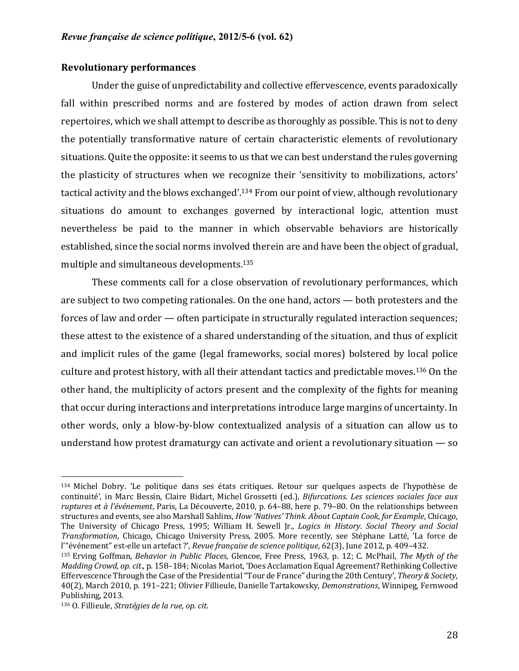# **Revolutionary performances**

Under the guise of unpredictability and collective effervescence, events paradoxically fall within prescribed norms and are fostered by modes of action drawn from select repertoires, which we shall attempt to describe as thoroughly as possible. This is not to deny the potentially transformative nature of certain characteristic elements of revolutionary situations. Quite the opposite: it seems to us that we can best understand the rules governing the plasticity of structures when we recognize their 'sensitivity to mobilizations, actors' tactical activity and the blows exchanged'.<sup>134</sup> From our point of view, although revolutionary situations do amount to exchanges governed by interactional logic, attention must nevertheless be paid to the manner in which observable behaviors are historically established, since the social norms involved therein are and have been the object of gradual, multiple and simultaneous developments.<sup>135</sup>

These comments call for a close observation of revolutionary performances, which are subject to two competing rationales. On the one hand, actors  $-$  both protesters and the forces of law and order — often participate in structurally regulated interaction sequences; these attest to the existence of a shared understanding of the situation, and thus of explicit and implicit rules of the game (legal frameworks, social mores) bolstered by local police culture and protest history, with all their attendant tactics and predictable moves.<sup>136</sup> On the other hand, the multiplicity of actors present and the complexity of the fights for meaning that occur during interactions and interpretations introduce large margins of uncertainty. In other words, only a blow-by-blow contextualized analysis of a situation can allow us to understand how protest dramaturgy can activate and orient a revolutionary situation  $-$  so

<sup>134</sup> Michel Dobry. 'Le politique dans ses états critiques. Retour sur quelques aspects de l'hypothèse de continuité', in Marc Bessin, Claire Bidart, Michel Grossetti (ed.), *Bifurcations. Les sciences sociales face aux ruptures et à l'événement*, Paris, La Découverte, 2010, p. 64–88, here p. 79–80. On the relationships between structures and events, see also Marshall Sahlins, *How 'Natives' Think. About Captain Cook, for Example*, Chicago, The University of Chicago Press, 1995; William H. Sewell Jr., *Logics in History. Social Theory and Social Transformation*, Chicago, Chicago University Press, 2005. More recently, see Stéphane Latté, 'La force de l'"événement" est-elle un artefact ?', *Revue française de science politique*, 62(3), June 2012, p. 409-432.

<sup>135</sup> Erving Goffman, *Behavior in Public Places*, Glencoe, Free Press, 1963, p. 12; C. McPhail, *The Myth of the Madding Crowd, op. cit.,* p. 158–184; Nicolas Mariot, 'Does Acclamation Equal Agreement? Rethinking Collective Effervescence Through the Case of the Presidential "Tour de France" during the 20th Century', *Theory & Society*, 40(2), March 2010, p. 191-221; Olivier Fillieule, Danielle Tartakowsky, *Demonstrations*, Winnipeg, Fernwood Publishing, 2013.

<sup>136</sup> O. Fillieule, *Stratégies de la rue, op. cit.*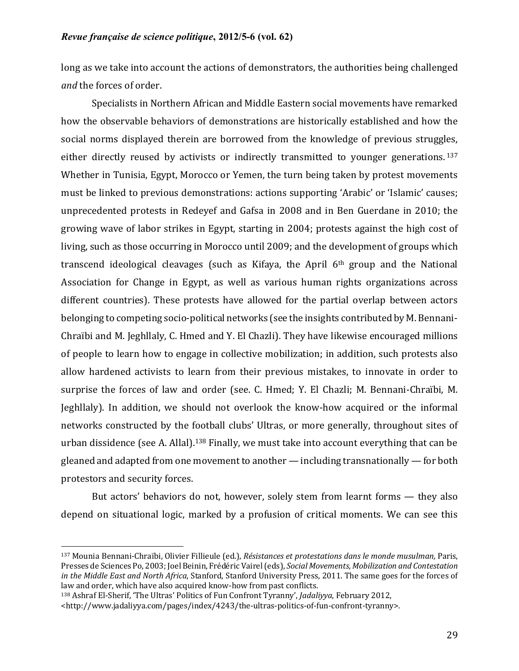long as we take into account the actions of demonstrators, the authorities being challenged *and* the forces of order.

Specialists in Northern African and Middle Eastern social movements have remarked how the observable behaviors of demonstrations are historically established and how the social norms displayed therein are borrowed from the knowledge of previous struggles, either directly reused by activists or indirectly transmitted to younger generations.<sup>137</sup> Whether in Tunisia, Egypt, Morocco or Yemen, the turn being taken by protest movements must be linked to previous demonstrations: actions supporting 'Arabic' or 'Islamic' causes; unprecedented protests in Redeyef and Gafsa in 2008 and in Ben Guerdane in 2010; the growing wave of labor strikes in Egypt, starting in 2004; protests against the high cost of living, such as those occurring in Morocco until 2009; and the development of groups which transcend ideological cleavages (such as Kifaya, the April  $6<sup>th</sup>$  group and the National Association for Change in Egypt, as well as various human rights organizations across different countries). These protests have allowed for the partial overlap between actors belonging to competing socio-political networks (see the insights contributed by M. Bennani-Chraïbi and M. Jeghllaly, C. Hmed and Y. El Chazli). They have likewise encouraged millions of people to learn how to engage in collective mobilization; in addition, such protests also allow hardened activists to learn from their previous mistakes, to innovate in order to surprise the forces of law and order (see. C. Hmed; Y. El Chazli; M. Bennani-Chraïbi, M. Jeghllaly). In addition, we should not overlook the know-how acquired or the informal networks constructed by the football clubs' Ultras, or more generally, throughout sites of urban dissidence (see A. Allal).<sup>138</sup> Finally, we must take into account everything that can be gleaned and adapted from one movement to another  $-$  including transnationally  $-$  for both protestors and security forces.

But actors' behaviors do not, however, solely stem from learnt forms  $-$  they also depend on situational logic, marked by a profusion of critical moments. We can see this

<sup>137</sup> Mounia Bennani-Chraïbi, Olivier Fillieule (ed.), *Résistances et protestations dans le monde musulman*, Paris, Presses de Sciences Po, 2003; Joel Beinin, Frédéric Vairel (eds), *Social Movements, Mobilization and Contestation in* the Middle East and North Africa, Stanford, Stanford University Press, 2011. The same goes for the forces of law and order, which have also acquired know-how from past conflicts.

<sup>138</sup> Ashraf El-Sherif, 'The Ultras' Politics of Fun Confront Tyranny', *Jadaliyya*, February 2012,

<sup>&</sup>lt;http://www.jadaliyya.com/pages/index/4243/the-ultras-politics-of-fun-confront-tyranny>.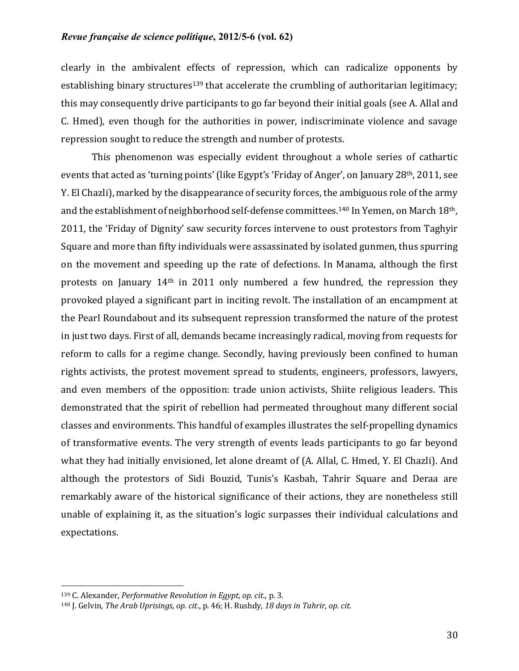clearly in the ambivalent effects of repression, which can radicalize opponents by establishing binary structures<sup>139</sup> that accelerate the crumbling of authoritarian legitimacy; this may consequently drive participants to go far beyond their initial goals (see A. Allal and C. Hmed), even though for the authorities in power, indiscriminate violence and savage repression sought to reduce the strength and number of protests.

This phenomenon was especially evident throughout a whole series of cathartic events that acted as 'turning points' (like Egypt's 'Friday of Anger', on January 28<sup>th</sup>, 2011, see Y. El Chazli), marked by the disappearance of security forces, the ambiguous role of the army and the establishment of neighborhood self-defense committees.<sup>140</sup> In Yemen, on March 18<sup>th</sup>, 2011, the 'Friday of Dignity' saw security forces intervene to oust protestors from Taghyir Square and more than fifty individuals were assassinated by isolated gunmen, thus spurring on the movement and speeding up the rate of defections. In Manama, although the first protests on January  $14<sup>th</sup>$  in 2011 only numbered a few hundred, the repression they provoked played a significant part in inciting revolt. The installation of an encampment at the Pearl Roundabout and its subsequent repression transformed the nature of the protest in just two days. First of all, demands became increasingly radical, moving from requests for reform to calls for a regime change. Secondly, having previously been confined to human rights activists, the protest movement spread to students, engineers, professors, lawyers, and even members of the opposition: trade union activists, Shiite religious leaders. This demonstrated that the spirit of rebellion had permeated throughout many different social classes and environments. This handful of examples illustrates the self-propelling dynamics of transformative events. The very strength of events leads participants to go far beyond what they had initially envisioned, let alone dreamt of (A. Allal, C. Hmed, Y. El Chazli). And although the protestors of Sidi Bouzid, Tunis's Kasbah, Tahrir Square and Deraa are remarkably aware of the historical significance of their actions, they are nonetheless still unable of explaining it, as the situation's logic surpasses their individual calculations and expectations.

<sup>139</sup> C. Alexander, *Performative Revolution in Egypt*, *op. cit.*, p. 3.

<sup>140</sup> J. Gelvin, The Arab Uprisings, op. cit., p. 46; H. Rushdy, 18 days in Tahrir, op. cit.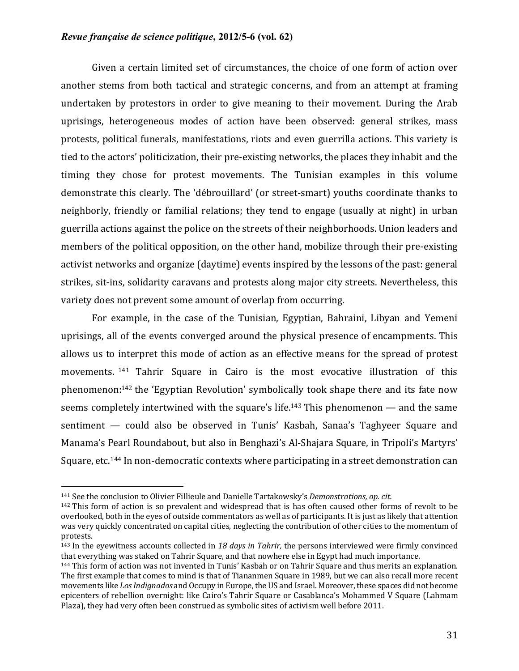Given a certain limited set of circumstances, the choice of one form of action over another stems from both tactical and strategic concerns, and from an attempt at framing undertaken by protestors in order to give meaning to their movement. During the Arab uprisings, heterogeneous modes of action have been observed: general strikes, mass protests, political funerals, manifestations, riots and even guerrilla actions. This variety is tied to the actors' politicization, their pre-existing networks, the places they inhabit and the timing they chose for protest movements. The Tunisian examples in this volume demonstrate this clearly. The 'débrouillard' (or street-smart) youths coordinate thanks to neighborly, friendly or familial relations; they tend to engage (usually at night) in urban guerrilla actions against the police on the streets of their neighborhoods. Union leaders and members of the political opposition, on the other hand, mobilize through their pre-existing activist networks and organize (daytime) events inspired by the lessons of the past: general strikes, sit-ins, solidarity caravans and protests along major city streets. Nevertheless, this variety does not prevent some amount of overlap from occurring.

For example, in the case of the Tunisian, Egyptian, Bahraini, Libyan and Yemeni uprisings, all of the events converged around the physical presence of encampments. This allows us to interpret this mode of action as an effective means for the spread of protest movements.  $141$  Tahrir Square in Cairo is the most evocative illustration of this phenomenon: $142$  the 'Egyptian Revolution' symbolically took shape there and its fate now seems completely intertwined with the square's life.<sup>143</sup> This phenomenon  $-$  and the same sentiment — could also be observed in Tunis' Kasbah, Sanaa's Taghyeer Square and Manama's Pearl Roundabout, but also in Benghazi's Al-Shajara Square, in Tripoli's Martyrs' Square, etc.<sup>144</sup> In non-democratic contexts where participating in a street demonstration can

<sup>&</sup>lt;sup>141</sup> See the conclusion to Olivier Fillieule and Danielle Tartakowsky's *Demonstrations, op. cit.* 

 $142$  This form of action is so prevalent and widespread that is has often caused other forms of revolt to be overlooked, both in the eyes of outside commentators as well as of participants. It is just as likely that attention was very quickly concentrated on capital cities, neglecting the contribution of other cities to the momentum of protests.

 $143$  In the eyewitness accounts collected in 18 days in Tahrir, the persons interviewed were firmly convinced that everything was staked on Tahrir Square, and that nowhere else in Egypt had much importance.

 $144$  This form of action was not invented in Tunis' Kasbah or on Tahrir Square and thus merits an explanation. The first example that comes to mind is that of Tiananmen Square in 1989, but we can also recall more recent movements like *Los Indignados* and Occupy in Europe, the US and Israel. Moreover, these spaces did not become epicenters of rebellion overnight: like Cairo's Tahrir Square or Casablanca's Mohammed V Square (Lahmam Plaza), they had very often been construed as symbolic sites of activism well before 2011.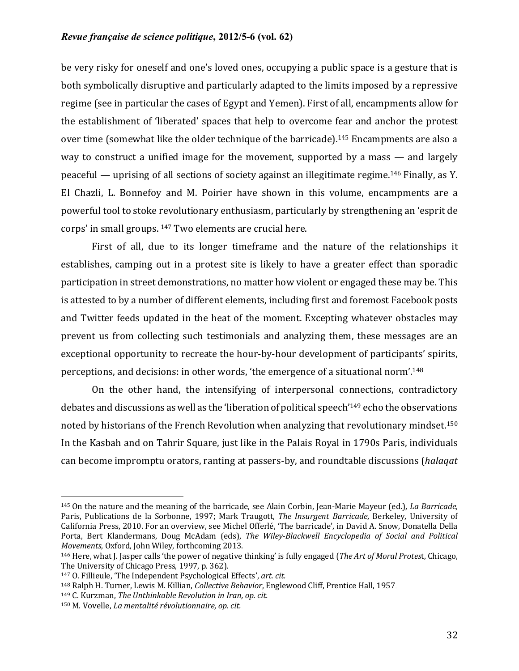be very risky for oneself and one's loved ones, occupying a public space is a gesture that is both symbolically disruptive and particularly adapted to the limits imposed by a repressive regime (see in particular the cases of Egypt and Yemen). First of all, encampments allow for the establishment of 'liberated' spaces that help to overcome fear and anchor the protest over time (somewhat like the older technique of the barricade).<sup>145</sup> Encampments are also a way to construct a unified image for the movement, supported by a mass  $-$  and largely peaceful — uprising of all sections of society against an illegitimate regime.<sup>146</sup> Finally, as Y. El Chazli, L. Bonnefoy and M. Poirier have shown in this volume, encampments are a powerful tool to stoke revolutionary enthusiasm, particularly by strengthening an 'esprit de corps' in small groups.  $147$  Two elements are crucial here.

First of all, due to its longer timeframe and the nature of the relationships it establishes, camping out in a protest site is likely to have a greater effect than sporadic participation in street demonstrations, no matter how violent or engaged these may be. This is attested to by a number of different elements, including first and foremost Facebook posts and Twitter feeds updated in the heat of the moment. Excepting whatever obstacles may prevent us from collecting such testimonials and analyzing them, these messages are an exceptional opportunity to recreate the hour-by-hour development of participants' spirits, perceptions, and decisions: in other words, 'the emergence of a situational norm'.<sup>148</sup>

On the other hand, the intensifying of interpersonal connections, contradictory debates and discussions as well as the 'liberation of political speech'<sup>149</sup> echo the observations noted by historians of the French Revolution when analyzing that revolutionary mindset.<sup>150</sup> In the Kasbah and on Tahrir Square, just like in the Palais Royal in 1790s Paris, individuals can become impromptu orators, ranting at passers-by, and roundtable discussions (halaqat

<sup>&</sup>lt;sup>145</sup> On the nature and the meaning of the barricade, see Alain Corbin, Jean-Marie Mayeur (ed.), *La Barricade*, Paris, Publications de la Sorbonne, 1997; Mark Traugott, *The Insurgent Barricade*, Berkeley, University of California Press, 2010. For an overview, see Michel Offerlé, 'The barricade', in David A. Snow, Donatella Della Porta, Bert Klandermans, Doug McAdam (eds), *The Wiley-Blackwell Encyclopedia of Social and Political Movements*, Oxford, John Wiley, forthcoming 2013.

<sup>&</sup>lt;sup>146</sup> Here, what I. Jasper calls 'the power of negative thinking' is fully engaged (*The Art of Moral Protest*, Chicago, The University of Chicago Press, 1997, p. 362).

<sup>147</sup> O. Fillieule, 'The Independent Psychological Effects', art. cit.

<sup>148</sup> Ralph H. Turner, Lewis M. Killian, *Collective Behavior*, Englewood Cliff, Prentice Hall, 1957.

<sup>149</sup> C. Kurzman, *The Unthinkable Revolution in Iran, op. cit.* 

<sup>150</sup> M. Vovelle, *La mentalité révolutionnaire, op. cit.*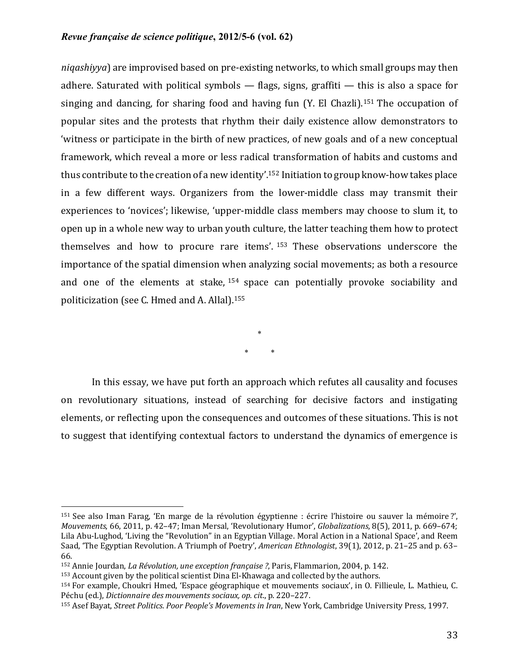*niqashiyya*) are improvised based on pre-existing networks, to which small groups may then adhere. Saturated with political symbols  $-$  flags, signs, graffiti  $-$  this is also a space for singing and dancing, for sharing food and having fun  $(Y$ . El Chazli).<sup>151</sup> The occupation of popular sites and the protests that rhythm their daily existence allow demonstrators to 'witness or participate in the birth of new practices, of new goals and of a new conceptual framework, which reveal a more or less radical transformation of habits and customs and thus contribute to the creation of a new identity'.<sup>152</sup> Initiation to group know-how takes place in a few different ways. Organizers from the lower-middle class may transmit their experiences to 'novices'; likewise, 'upper-middle class members may choose to slum it, to open up in a whole new way to urban youth culture, the latter teaching them how to protect themselves and how to procure rare items'.  $153$  These observations underscore the importance of the spatial dimension when analyzing social movements; as both a resource and one of the elements at stake,  $154$  space can potentially provoke sociability and politicization (see C. Hmed and A. Allal).<sup>155</sup>

> \* \* \*

In this essay, we have put forth an approach which refutes all causality and focuses on revolutionary situations, instead of searching for decisive factors and instigating elements, or reflecting upon the consequences and outcomes of these situations. This is not to suggest that identifying contextual factors to understand the dynamics of emergence is

 $151$  See also Iman Farag, 'En marge de la révolution égyptienne : écrire l'histoire ou sauver la mémoire ?', *Mouvements*, 66, 2011, p. 42-47; Iman Mersal, 'Revolutionary Humor', *Globalizations*, 8(5), 2011, p. 669-674; Lila Abu-Lughod, 'Living the "Revolution" in an Egyptian Village. Moral Action in a National Space', and Reem Saad, 'The Egyptian Revolution. A Triumph of Poetry', *American Ethnologist*, 39(1), 2012, p. 21–25 and p. 63– 66.

<sup>&</sup>lt;sup>152</sup> Annie Jourdan, *La Révolution, une exception française ?*, Paris, Flammarion, 2004, p. 142.

 $153$  Account given by the political scientist Dina El-Khawaga and collected by the authors.

<sup>154</sup> For example, Choukri Hmed, 'Espace géographique et mouvements sociaux', in O. Fillieule, L. Mathieu, C. Péchu (ed.), *Dictionnaire des mouvements sociaux, op. cit.*, p. 220-227.

<sup>155</sup> Asef Bayat, *Street Politics. Poor People's Movements in Iran*, New York, Cambridge University Press, 1997.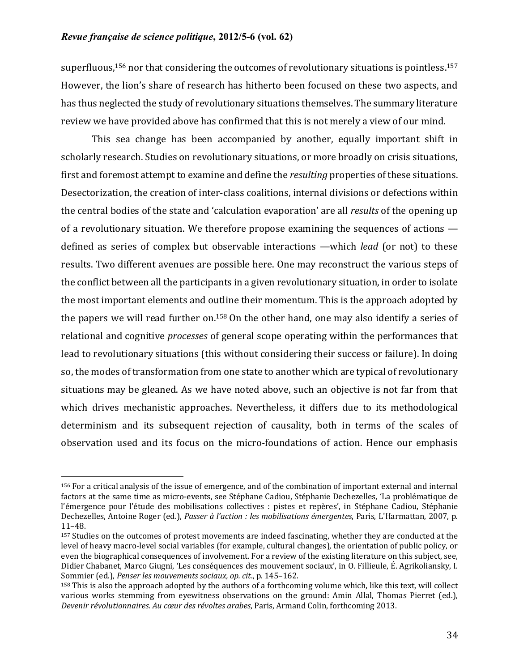superfluous,  $156$  nor that considering the outcomes of revolutionary situations is pointless.  $157$ However, the lion's share of research has hitherto been focused on these two aspects, and has thus neglected the study of revolutionary situations themselves. The summary literature review we have provided above has confirmed that this is not merely a view of our mind.

This sea change has been accompanied by another, equally important shift in scholarly research. Studies on revolutionary situations, or more broadly on crisis situations, first and foremost attempt to examine and define the *resulting* properties of these situations. Desectorization, the creation of inter-class coalitions, internal divisions or defections within the central bodies of the state and 'calculation evaporation' are all *results* of the opening up of a revolutionary situation. We therefore propose examining the sequences of actions  $$ defined as series of complex but observable interactions —which *lead* (or not) to these results. Two different avenues are possible here. One may reconstruct the various steps of the conflict between all the participants in a given revolutionary situation, in order to isolate the most important elements and outline their momentum. This is the approach adopted by the papers we will read further on.<sup>158</sup> On the other hand, one may also identify a series of relational and cognitive *processes* of general scope operating within the performances that lead to revolutionary situations (this without considering their success or failure). In doing so, the modes of transformation from one state to another which are typical of revolutionary situations may be gleaned. As we have noted above, such an objective is not far from that which drives mechanistic approaches. Nevertheless, it differs due to its methodological determinism and its subsequent rejection of causality, both in terms of the scales of observation used and its focus on the micro-foundations of action. Hence our emphasis

<sup>&</sup>lt;sup>156</sup> For a critical analysis of the issue of emergence, and of the combination of important external and internal factors at the same time as micro-events, see Stéphane Cadiou, Stéphanie Dechezelles, 'La problématique de l'émergence pour l'étude des mobilisations collectives : pistes et repères', in Stéphane Cadiou, Stéphanie Dechezelles, Antoine Roger (ed.), *Passer à l'action : les mobilisations émergentes*, Paris, L'Harmattan, 2007, p. 11–48.

<sup>&</sup>lt;sup>157</sup> Studies on the outcomes of protest movements are indeed fascinating, whether they are conducted at the level of heavy macro-level social variables (for example, cultural changes), the orientation of public policy, or even the biographical consequences of involvement. For a review of the existing literature on this subject, see, Didier Chabanet, Marco Giugni, 'Les conséquences des mouvement sociaux', in O. Fillieule, É. Agrikoliansky, J. Sommier (ed.), *Penser les mouvements sociaux, op. cit.*, p. 145-162.

 $158$  This is also the approach adopted by the authors of a forthcoming volume which, like this text, will collect various works stemming from eyewitness observations on the ground: Amin Allal, Thomas Pierret (ed.), Devenir révolutionnaires. Au cœur des révoltes arabes, Paris, Armand Colin, forthcoming 2013.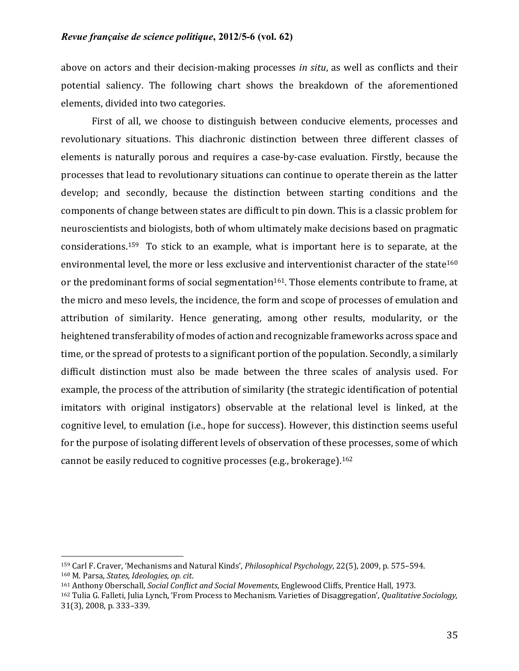above on actors and their decision-making processes *in situ*, as well as conflicts and their potential saliency. The following chart shows the breakdown of the aforementioned elements, divided into two categories.

First of all, we choose to distinguish between conducive elements, processes and revolutionary situations. This diachronic distinction between three different classes of elements is naturally porous and requires a case-by-case evaluation. Firstly, because the processes that lead to revolutionary situations can continue to operate therein as the latter develop; and secondly, because the distinction between starting conditions and the components of change between states are difficult to pin down. This is a classic problem for neuroscientists and biologists, both of whom ultimately make decisions based on pragmatic considerations.<sup>159</sup> To stick to an example, what is important here is to separate, at the environmental level, the more or less exclusive and interventionist character of the state<sup>160</sup> or the predominant forms of social segmentation<sup>161</sup>. Those elements contribute to frame, at the micro and meso levels, the incidence, the form and scope of processes of emulation and attribution of similarity. Hence generating, among other results, modularity, or the heightened transferability of modes of action and recognizable frameworks across space and time, or the spread of protests to a significant portion of the population. Secondly, a similarly difficult distinction must also be made between the three scales of analysis used. For example, the process of the attribution of similarity (the strategic identification of potential imitators with original instigators) observable at the relational level is linked, at the cognitive level, to emulation (i.e., hope for success). However, this distinction seems useful for the purpose of isolating different levels of observation of these processes, some of which cannot be easily reduced to cognitive processes (e.g., brokerage).<sup>162</sup>

<sup>159</sup> Carl F. Craver, 'Mechanisms and Natural Kinds', *Philosophical Psychology*, 22(5), 2009, p. 575–594. 160 M. Parsa, *States, Ideologies, op. cit.* 

<sup>161</sup> Anthony Oberschall, *Social Conflict and Social Movements*, Englewood Cliffs, Prentice Hall, 1973.

<sup>&</sup>lt;sup>162</sup> Tulia G. Falleti, Julia Lynch, 'From Process to Mechanism. Varieties of Disaggregation', *Qualitative Sociology*, 31(3), 2008, p. 333-339.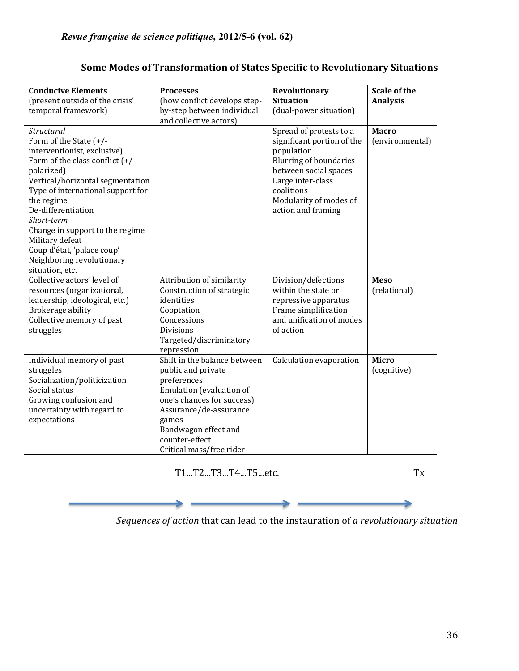| <b>Conducive Elements</b><br>(present outside of the crisis'<br>temporal framework)                                                                                                                                                                                                                                                                                                    | <b>Processes</b><br>(how conflict develops step-<br>by-step between individual                                                                                                                                                       | Revolutionary<br><b>Situation</b><br>(dual-power situation)                                                                                                                                                      | Scale of the<br><b>Analysis</b> |
|----------------------------------------------------------------------------------------------------------------------------------------------------------------------------------------------------------------------------------------------------------------------------------------------------------------------------------------------------------------------------------------|--------------------------------------------------------------------------------------------------------------------------------------------------------------------------------------------------------------------------------------|------------------------------------------------------------------------------------------------------------------------------------------------------------------------------------------------------------------|---------------------------------|
|                                                                                                                                                                                                                                                                                                                                                                                        | and collective actors)                                                                                                                                                                                                               |                                                                                                                                                                                                                  |                                 |
| Structural<br>Form of the State (+/-<br>interventionist, exclusive)<br>Form of the class conflict $(+/-)$<br>polarized)<br>Vertical/horizontal segmentation<br>Type of international support for<br>the regime<br>De-differentiation<br>Short-term<br>Change in support to the regime<br>Military defeat<br>Coup d'état, 'palace coup'<br>Neighboring revolutionary<br>situation, etc. |                                                                                                                                                                                                                                      | Spread of protests to a<br>significant portion of the<br>population<br><b>Blurring of boundaries</b><br>between social spaces<br>Large inter-class<br>coalitions<br>Modularity of modes of<br>action and framing | <b>Macro</b><br>(environmental) |
| Collective actors' level of<br>resources (organizational,<br>leadership, ideological, etc.)<br>Brokerage ability<br>Collective memory of past<br>struggles                                                                                                                                                                                                                             | Attribution of similarity<br>Construction of strategic<br>identities<br>Cooptation<br>Concessions<br><b>Divisions</b><br>Targeted/discriminatory<br>repression                                                                       | Division/defections<br>within the state or<br>repressive apparatus<br>Frame simplification<br>and unification of modes<br>of action                                                                              | <b>Meso</b><br>(relational)     |
| Individual memory of past<br>struggles<br>Socialization/politicization<br>Social status<br>Growing confusion and<br>uncertainty with regard to<br>expectations                                                                                                                                                                                                                         | Shift in the balance between<br>public and private<br>preferences<br>Emulation (evaluation of<br>one's chances for success)<br>Assurance/de-assurance<br>games<br>Bandwagon effect and<br>counter-effect<br>Critical mass/free rider | Calculation evaporation                                                                                                                                                                                          | <b>Micro</b><br>(cognitive)     |

# **Some Modes of Transformation of States Specific to Revolutionary Situations**

 T1...T2...T3...T4...T5...etc. Tx

 $\blacktriangleright$ 

*Sequences of action* that can lead to the instauration of *a revolutionary situation*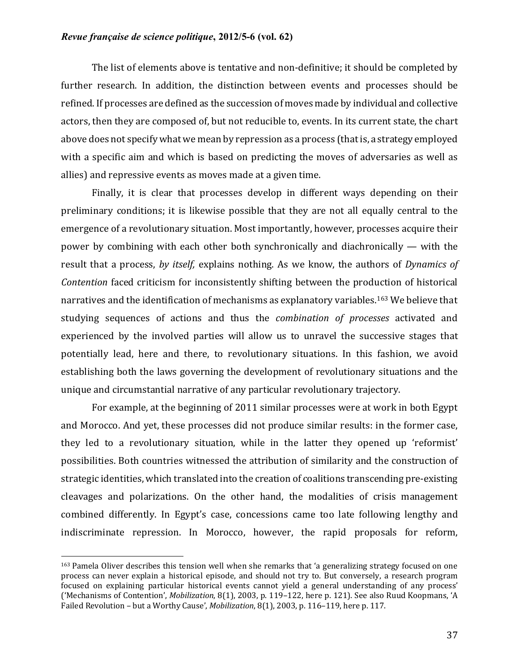The list of elements above is tentative and non-definitive; it should be completed by further research. In addition, the distinction between events and processes should be refined. If processes are defined as the succession of moves made by individual and collective actors, then they are composed of, but not reducible to, events. In its current state, the chart above does not specify what we mean by repression as a process (that is, a strategy employed with a specific aim and which is based on predicting the moves of adversaries as well as allies) and repressive events as moves made at a given time.

Finally, it is clear that processes develop in different ways depending on their preliminary conditions; it is likewise possible that they are not all equally central to the emergence of a revolutionary situation. Most importantly, however, processes acquire their power by combining with each other both synchronically and diachronically  $-$  with the result that a process, by itself, explains nothing. As we know, the authors of *Dynamics of Contention* faced criticism for inconsistently shifting between the production of historical narratives and the identification of mechanisms as explanatory variables.<sup>163</sup> We believe that studying sequences of actions and thus the *combination of processes* activated and experienced by the involved parties will allow us to unravel the successive stages that potentially lead, here and there, to revolutionary situations. In this fashion, we avoid establishing both the laws governing the development of revolutionary situations and the unique and circumstantial narrative of any particular revolutionary trajectory.

For example, at the beginning of 2011 similar processes were at work in both Egypt and Morocco. And yet, these processes did not produce similar results: in the former case, they led to a revolutionary situation, while in the latter they opened up 'reformist' possibilities. Both countries witnessed the attribution of similarity and the construction of strategic identities, which translated into the creation of coalitions transcending pre-existing cleavages and polarizations. On the other hand, the modalities of crisis management combined differently. In Egypt's case, concessions came too late following lengthy and indiscriminate repression. In Morocco, however, the rapid proposals for reform,

 $163$  Pamela Oliver describes this tension well when she remarks that 'a generalizing strategy focused on one process can never explain a historical episode, and should not try to. But conversely, a research program focused on explaining particular historical events cannot yield a general understanding of any process' ('Mechanisms of Contention', *Mobilization*, 8(1), 2003, p. 119-122, here p. 121). See also Ruud Koopmans, 'A Failed Revolution – but a Worthy Cause', *Mobilization*, 8(1), 2003, p. 116–119, here p. 117.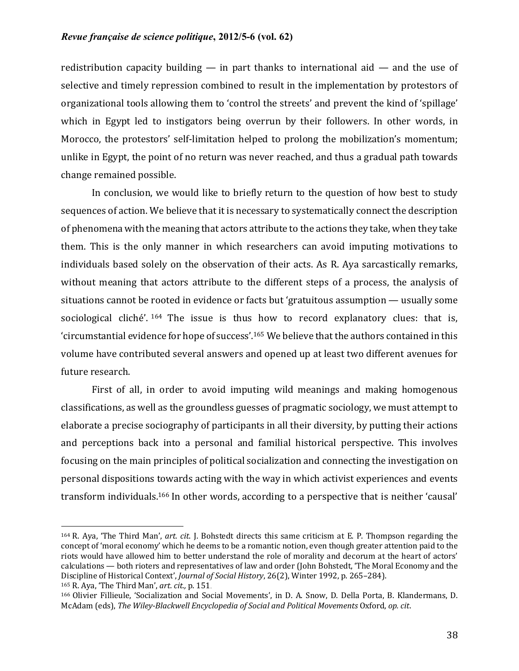redistribution capacity building  $-$  in part thanks to international aid  $-$  and the use of selective and timely repression combined to result in the implementation by protestors of organizational tools allowing them to 'control the streets' and prevent the kind of 'spillage' which in Egypt led to instigators being overrun by their followers. In other words, in Morocco, the protestors' self-limitation helped to prolong the mobilization's momentum; unlike in Egypt, the point of no return was never reached, and thus a gradual path towards change remained possible.

In conclusion, we would like to briefly return to the question of how best to study sequences of action. We believe that it is necessary to systematically connect the description of phenomena with the meaning that actors attribute to the actions they take, when they take them. This is the only manner in which researchers can avoid imputing motivations to individuals based solely on the observation of their acts. As R. Aya sarcastically remarks, without meaning that actors attribute to the different steps of a process, the analysis of situations cannot be rooted in evidence or facts but 'gratuitous assumption — usually some sociological cliché'.  $164$  The issue is thus how to record explanatory clues: that is, 'circumstantial evidence for hope of success'.<sup>165</sup> We believe that the authors contained in this volume have contributed several answers and opened up at least two different avenues for future research.

First of all, in order to avoid imputing wild meanings and making homogenous classifications, as well as the groundless guesses of pragmatic sociology, we must attempt to elaborate a precise sociography of participants in all their diversity, by putting their actions and perceptions back into a personal and familial historical perspective. This involves focusing on the main principles of political socialization and connecting the investigation on personal dispositions towards acting with the way in which activist experiences and events transform individuals.<sup>166</sup> In other words, according to a perspective that is neither 'causal'

 $164$  R. Aya, 'The Third Man', *art. cit.* J. Bohstedt directs this same criticism at E. P. Thompson regarding the concept of 'moral economy' which he deems to be a romantic notion, even though greater attention paid to the riots would have allowed him to better understand the role of morality and decorum at the heart of actors' calculations — both rioters and representatives of law and order (John Bohstedt, 'The Moral Economy and the Discipline of Historical Context', *Journal of Social History*, 26(2), Winter 1992, p. 265-284).

<sup>165</sup> R. Aya, 'The Third Man', *art. cit.*, p. 151.

<sup>166</sup> Olivier Fillieule, 'Socialization and Social Movements', in D. A. Snow, D. Della Porta, B. Klandermans, D. McAdam (eds), *The Wiley-Blackwell Encyclopedia of Social and Political Movements* Oxford, op. cit.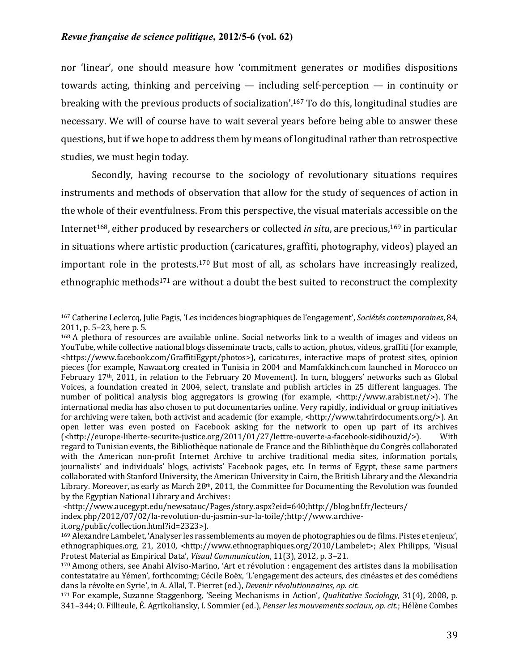nor 'linear', one should measure how 'commitment generates or modifies dispositions towards acting, thinking and perceiving  $-$  including self-perception  $-$  in continuity or breaking with the previous products of socialization'.<sup>167</sup> To do this, longitudinal studies are necessary. We will of course have to wait several years before being able to answer these questions, but if we hope to address them by means of longitudinal rather than retrospective studies, we must begin today.

Secondly, having recourse to the sociology of revolutionary situations requires instruments and methods of observation that allow for the study of sequences of action in the whole of their eventfulness. From this perspective, the visual materials accessible on the Internet<sup>168</sup>, either produced by researchers or collected *in situ*, are precious,<sup>169</sup> in particular in situations where artistic production (caricatures, graffiti, photography, videos) played an important role in the protests.<sup>170</sup> But most of all, as scholars have increasingly realized, ethnographic methods<sup>171</sup> are without a doubt the best suited to reconstruct the complexity

<sup>167</sup> Catherine Leclercq, Julie Pagis, 'Les incidences biographiques de l'engagement', *Sociétés contemporaines*, 84, 2011, p. 5–23, here p. 5.

 $168$  A plethora of resources are available online. Social networks link to a wealth of images and videos on YouTube, while collective national blogs disseminate tracts, calls to action, photos, videos, graffiti (for example, <https://www.facebook.com/GraffitiEgypt/photos>), caricatures, interactive maps of protest sites, opinion pieces (for example, Nawaat.org created in Tunisia in 2004 and Mamfakkinch.com launched in Morocco on February  $17<sup>th</sup>$ , 2011, in relation to the February 20 Movement). In turn, bloggers' networks such as Global Voices, a foundation created in 2004, select, translate and publish articles in 25 different languages. The number of political analysis blog aggregators is growing (for example,  $\langle \text{http://www.arabis.t.net/>})$ ). The international media has also chosen to put documentaries online. Very rapidly, individual or group initiatives for archiving were taken, both activist and academic (for example, <http://www.tahrirdocuments.org/>). An open letter was even posted on Facebook asking for the network to open up part of its archives (<http://europe-liberte-securite-justice.org/2011/01/27/lettre-ouverte-a-facebook-sidibouzid/>). With regard to Tunisian events, the Bibliothèque nationale de France and the Bibliothèque du Congrès collaborated with the American non-profit Internet Archive to archive traditional media sites, information portals, journalists' and individuals' blogs, activists' Facebook pages, etc. In terms of Egypt, these same partners collaborated with Stanford University, the American University in Cairo, the British Library and the Alexandria Library. Moreover, as early as March  $28<sup>th</sup>$ , 2011, the Committee for Documenting the Revolution was founded by the Egyptian National Library and Archives:

<sup>&</sup>lt;http://www.aucegypt.edu/newsatauc/Pages/story.aspx?eid=640;http://blog.bnf.fr/lecteurs/ index.php/2012/07/02/la-revolution-du-jasmin-sur-la-toile/;http://www.archiveit.org/public/collection.html?id=2323>).

<sup>&</sup>lt;sup>169</sup> Alexandre Lambelet, 'Analyser les rassemblements au moyen de photographies ou de films. Pistes et enjeux', ethnographiques.org, 21, 2010, <http://www.ethnographiques.org/2010/Lambelet>; Alex Philipps, 'Visual Protest Material as Empirical Data', *Visual Communication*, 11(3), 2012, p. 3-21.

 $170$  Among others, see Anahi Alviso-Marino, 'Art et révolution : engagement des artistes dans la mobilisation contestataire au Yémen', forthcoming; Cécile Boëx, 'L'engagement des acteurs, des cinéastes et des comédiens dans la révolte en Syrie', in A. Allal, T. Pierret (ed.), *Devenir révolutionnaires, op. cit.* 

<sup>171</sup> For example, Suzanne Staggenborg, 'Seeing Mechanisms in Action', *Qualitative Sociology*, 31(4), 2008, p. 341–344; O. Fillieule, É. Agrikoliansky, I. Sommier (ed.), *Penser les mouvements sociaux, op. cit.*; Hélène Combes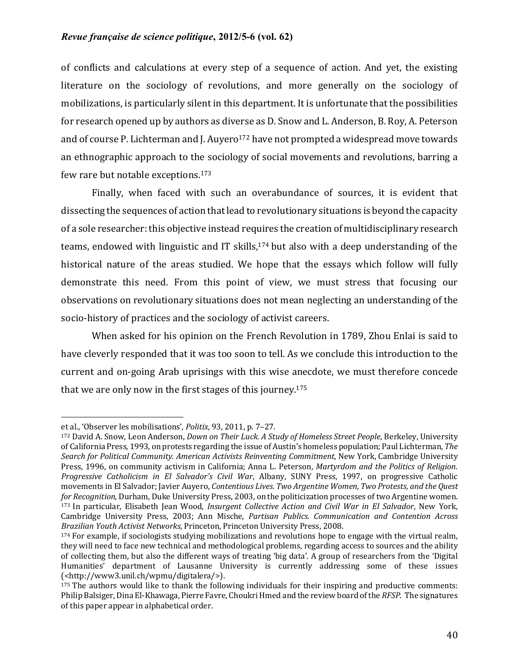of conflicts and calculations at every step of a sequence of action. And yet, the existing literature on the sociology of revolutions, and more generally on the sociology of mobilizations, is particularly silent in this department. It is unfortunate that the possibilities for research opened up by authors as diverse as D. Snow and L. Anderson, B. Roy, A. Peterson and of course P. Lichterman and J. Auyero<sup>172</sup> have not prompted a widespread move towards an ethnographic approach to the sociology of social movements and revolutions, barring a few rare but notable exceptions. $173$ 

Finally, when faced with such an overabundance of sources, it is evident that dissecting the sequences of action that lead to revolutionary situations is beyond the capacity of a sole researcher: this objective instead requires the creation of multidisciplinary research teams, endowed with linguistic and IT skills,<sup>174</sup> but also with a deep understanding of the historical nature of the areas studied. We hope that the essays which follow will fully demonstrate this need. From this point of view, we must stress that focusing our observations on revolutionary situations does not mean neglecting an understanding of the socio-history of practices and the sociology of activist careers.

When asked for his opinion on the French Revolution in 1789, Zhou Enlai is said to have cleverly responded that it was too soon to tell. As we conclude this introduction to the current and on-going Arab uprisings with this wise anecdote, we must therefore concede that we are only now in the first stages of this journey.<sup>175</sup>

et al., 'Observer les mobilisations', *Politix*, 93, 2011, p. 7-27.

<sup>&</sup>lt;sup>172</sup> David A. Snow, Leon Anderson, *Down on Their Luck. A Study of Homeless Street People*, Berkeley, University of California Press, 1993, on protests regarding the issue of Austin's homeless population; Paul Lichterman, *The* Search for Political Community. American Activists Reinventing Commitment, New York, Cambridge University Press, 1996, on community activism in California; Anna L. Peterson, *Martyrdom and the Politics of Religion*. *Progressive Catholicism in El Salvador's Civil War*, Albany, SUNY Press, 1997, on progressive Catholic movements in El Salvador; Javier Auyero, *Contentious Lives. Two Argentine Women, Two Protests, and the Quest for Recognition*, Durham, Duke University Press, 2003, on the politicization processes of two Argentine women. <sup>173</sup> In particular, Elisabeth Jean Wood, *Insurgent Collective Action and Civil War in El Salvador*, New York, Cambridge University Press, 2003; Ann Mische, *Partisan Publics. Communication and Contention Across Brazilian Youth Activist Networks*, Princeton, Princeton University Press, 2008.

<sup>174</sup> For example, if sociologists studying mobilizations and revolutions hope to engage with the virtual realm, they will need to face new technical and methodological problems, regarding access to sources and the ability of collecting them, but also the different ways of treating 'big data'. A group of researchers from the 'Digital Humanities' department of Lausanne University is currently addressing some of these issues (<http://www3.unil.ch/wpmu/digitalera/>).

 $175$  The authors would like to thank the following individuals for their inspiring and productive comments: Philip Balsiger, Dina El-Khawaga, Pierre Favre, Choukri Hmed and the review board of the *RFSP*. The signatures of this paper appear in alphabetical order.